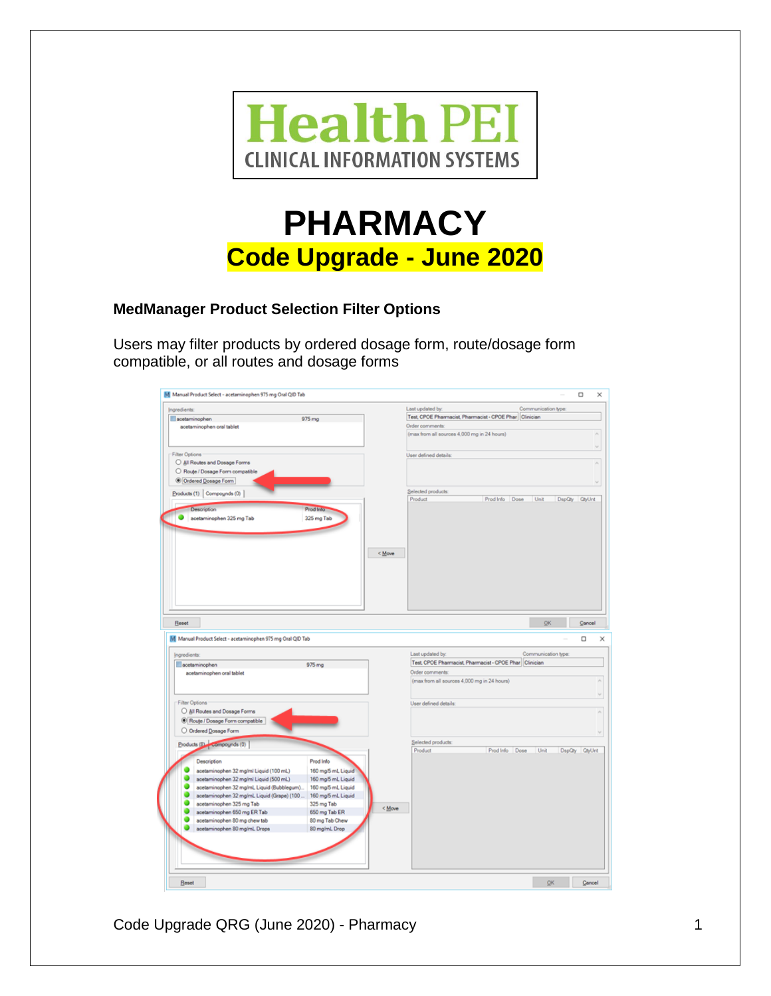

# **PHARMACY Code Upgrade - June 2020**

## **MedManager Product Selection Filter Options**

Users may filter products by ordered dosage form, route/dosage form compatible, or all routes and dosage forms

| Ingredients:                                                |                    | Last updated by:                                        |                   | Communication type: |               |  |
|-------------------------------------------------------------|--------------------|---------------------------------------------------------|-------------------|---------------------|---------------|--|
| acetaminophen                                               | 975 mg             | Test CPOE Pharmacist, Pharmacist - CPOE Phar Clinician  |                   |                     |               |  |
| acetaminophen oral tablet                                   |                    | Order comments:                                         |                   |                     |               |  |
|                                                             |                    | (max from all sources 4,000 mg in 24 hours)             |                   |                     |               |  |
|                                                             |                    |                                                         |                   |                     |               |  |
| Filter Options                                              |                    | User defined details:                                   |                   |                     |               |  |
| All Routes and Dosage Forms                                 |                    |                                                         |                   |                     |               |  |
| O Route / Dosage Form compatible                            |                    |                                                         |                   |                     |               |  |
| Ordered Dosage Form                                         |                    |                                                         |                   |                     |               |  |
|                                                             |                    | Selected products:                                      |                   |                     |               |  |
| Products (1) Compounds (0)                                  |                    | Product                                                 | Prod Info<br>Dose | Unit                | DspQty QtyUnt |  |
| <b>Reset</b>                                                | < Move             |                                                         |                   | OK                  | Cancel        |  |
|                                                             |                    |                                                         |                   |                     | α             |  |
|                                                             |                    | Last updated by:                                        |                   | Communication type: |               |  |
| acetaminophen                                               | 975 mg             | Test, CPOE Pharmacist, Pharmacist - CPOE Phar Clinician |                   |                     |               |  |
| acetaminophen oral tablet                                   |                    | Order comments:                                         |                   |                     |               |  |
|                                                             |                    | (max from all sources 4,000 mg in 24 hours)             |                   |                     |               |  |
|                                                             |                    |                                                         |                   |                     |               |  |
| Filter Options                                              |                    | User defined details:                                   |                   |                     |               |  |
| All Routes and Dosage Forms                                 |                    |                                                         |                   |                     |               |  |
| Route / Dosage Form compatible                              |                    |                                                         |                   |                     |               |  |
|                                                             |                    |                                                         |                   |                     |               |  |
| O Ordered Dosage Form                                       |                    |                                                         |                   |                     |               |  |
| Products (8) Compounds (0)                                  |                    | Selected products:<br>Product                           | Prod Info Dose    | Unit                | DspQty QtyUnt |  |
|                                                             |                    |                                                         |                   |                     |               |  |
| Description                                                 | Prod Info          |                                                         |                   |                     |               |  |
| Ingredients:<br>acetaminophen 32 mg/ml Liquid (100 mL)      | 160 mg/5 mL Liquid |                                                         |                   |                     |               |  |
| acetaminophen 32 mg/ml Liquid (500 mL)                      | 160 mg/5 mL Liquid |                                                         |                   |                     |               |  |
| acetaminophen 32 mg/ml. Liquid (Bubblegum)                  | 160 mg/5 mL Liquid |                                                         |                   |                     |               |  |
| acetaminophen 32 mg/mL Liquid (Grape) (100                  | 160 mg/5 mL Liquid |                                                         |                   |                     |               |  |
| acetaminophen 325 mg Tab                                    | 325 mg Tab         | < Move                                                  |                   |                     |               |  |
| acetaminophen 650 mg ER Tab                                 | 650 mg Tab ER      |                                                         |                   |                     |               |  |
| acetaminophen 80 mg chew tab                                | 80 mg Tab Chew     |                                                         |                   |                     |               |  |
| acetaminophen 80 mg/mL Drops                                | 80 mg/mL Drop      |                                                         |                   |                     |               |  |
|                                                             |                    |                                                         |                   |                     |               |  |
| M Manual Product Select - acetaminophen 975 mg Oral QID Tab |                    |                                                         |                   |                     |               |  |
|                                                             |                    |                                                         |                   |                     |               |  |

Code Upgrade QRG (June 2020) - Pharmacy 1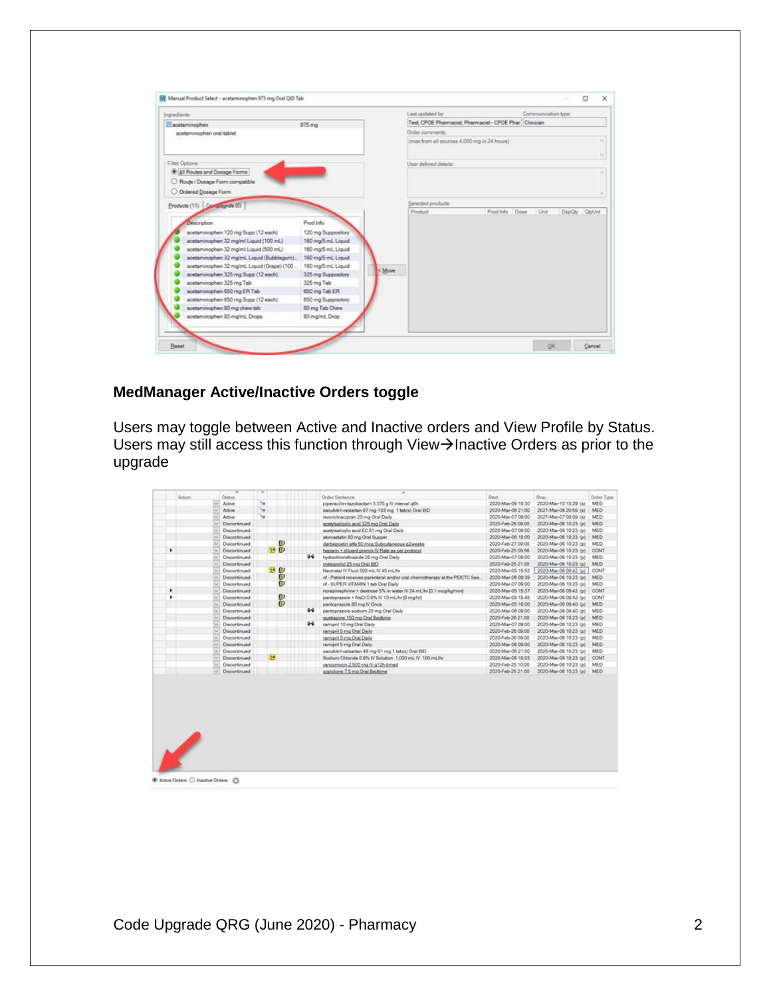| Ingredients:                                 |                     | Last updated by:                                      | Communication type:                 |               |
|----------------------------------------------|---------------------|-------------------------------------------------------|-------------------------------------|---------------|
| acetaminophen                                | $975 \, \text{mg}$  | Test CPOE Pharmacist Pharmacist - CPOE Phar Clinician |                                     |               |
| acetaminophen oral tablet                    |                     | Order comments                                        |                                     |               |
|                                              |                     | (max from all sources 4.000 mg in 24 hours)           |                                     |               |
| Filter Options                               |                     | User defined details:                                 |                                     | $\sim$        |
| All Routes and Dosage Forms                  |                     |                                                       |                                     |               |
|                                              |                     |                                                       |                                     |               |
| O Route / Dosage Form compatible             |                     |                                                       |                                     |               |
| O Ordered Dosage Form                        |                     |                                                       |                                     |               |
| Products (11) Compognitis (0)                |                     | Selected products:                                    |                                     |               |
|                                              |                     | Product                                               | Prod Info<br>Done<br>Unit<br>DspQty | <b>QtyUnt</b> |
| Description                                  | Prod Info           |                                                       |                                     |               |
| acetaminophen 120 mg Supp (12 each)          | 120 mg Suppository  |                                                       |                                     |               |
| acetaminophen 32 mg/ml Liquid (100 ml.)      | 160 mg/5 ml. Liquid |                                                       |                                     |               |
| acetaminophen 32 mg/ml Liquid (500 mL)       | 160 mg5 ml, Liquid  |                                                       |                                     |               |
| acetaminophen 32 mg/ml, Liquid (Bubblegum).  | 160 mg/5 ml, Liquid |                                                       |                                     |               |
| acetaminophen 32 mg/ml. Liquid (Grape) (100. | 160 mg/5 mL Liquid  |                                                       |                                     |               |
| acetaminophen 325 mg Supp (12 each)          | 325 mg Suppository  | < Move                                                |                                     |               |
| acetaminophen 325 mg Tab                     | 325 mg Tab          |                                                       |                                     |               |
| acetaminophen 650 mg ER Tab                  | 650 mg Tab ER       |                                                       |                                     |               |
| acetaminophen 650 mg Supp (12 each)          | 650 mg Suppository  |                                                       |                                     |               |
|                                              | 80 mg Tab Chew      |                                                       |                                     |               |
| acetaminophen 80 mg chew tab                 |                     |                                                       |                                     |               |

## **MedManager Active/Inactive Orders toggle**

Users may toggle between Active and Inactive orders and View Profile by Status. Users may still access this function through View $\rightarrow$ Inactive Orders as prior to the upgrade

| Action      | v<br><b>Blatus</b> | v         |             |         | ÷<br>Order Sentence                                                          | Start             | Stop                  | Order Type       |
|-------------|--------------------|-----------|-------------|---------|------------------------------------------------------------------------------|-------------------|-----------------------|------------------|
| $rac{1}{2}$ | Active             | <b>SB</b> |             |         | piperacilin-tazobactam 3.375 g IV interval g6h                               | 2020-Mar-06 10:30 | 2020-Mar-10 10:29 (s) | <b>MED</b>       |
|             | Active             | $\sim$    |             |         | sacubitri-valsartan 97 mg-103 mg 1 tabis) Oral BID                           | 2020-Mar-06 21:00 | 2021-Mar-06 20:59 (s) | <b>MED</b>       |
| u           | Active             | w         |             |         | levominacipran 20 mg Oral Daily                                              | 2020-Mar-07 09:00 | 2021-Mar-07 08:59 (s) | MED.             |
| ü           | Discontinued       |           |             |         | acetylsalicylic acid 325 mg Oral Daily                                       | 2020-Feb-26 09:00 | 2020-Mar-06 10:23 (p) | <b>MED</b>       |
| u           | Discontinued       |           |             |         | acetylsalicylic acid EC 81 mg Oral Daily                                     | 2020-Mar-07 09:00 | 2020-Mar-06 10:23 (p) | <b>MED</b>       |
| u           | Discontinued       |           |             |         | atorvastatin 80 mg Oral Supper                                               | 2020-Mar-06 18:00 | 2020-Mar-06 10:23 (p) | MED.             |
| u           | Discontinued       |           | ω           |         | darbepoetn alfa 60 mog Subcutaneous g2weeks                                  | 2020-Feb-27 09:00 | 2020-Mar-06 10:23 (g) | MED <sup>1</sup> |
| ٠<br>$\sim$ | Discontinued       |           | <b>BD</b>   |         | heparin + diluent premix IV Rate as per protocol                             | 2020-Feb-25 09:56 | 2020-Mar-06 10:23 (p) | CONT             |
| $\omega$    | Discoránued        |           |             | 94      | hydrochlorothiazide 25 mg Oral Daily                                         | 2020-Mar-07 09:00 | 2020-Mar-06 10:23 (p) | MED              |
| $\sim$      | Discontinued       |           |             |         | metoprolol 25 mg Oral BID                                                    | 2020-Feb-25 21:00 | 2020-Mar-06 10:23 (p) | MED              |
| u           | Discontinued       | 38        | ω           |         | Neonatal IV Fluid 500 mL IV 45 mL/hr                                         | 2020-Mar-05 15:52 | 2020-Mar-06 09:42 (p) | CONT             |
| u           | Discontinued       |           | P<br>D      |         | nf - Patient receives parenteral and/or oral chemotherapy at the PEICTC See. | 2020-Mar-06 09:39 | 2020-Mar-06 10:23 (p) | MED.             |
|             | Discontinued       |           |             |         | nf - SUPER VITAMIN 1 tab Oral Daily                                          | 2020-Mar-07 09:00 | 2020-Mar-06 10:23 (p) | MED.             |
| ٠           | Discontinued       |           |             |         | norepinephrine · dextrose 5% in water IV 24 mL/hr (0.1 mog/kg/min)           | 2020-Mar-05 15:37 | 2020-Mar-06 09:42 (p) | CONT             |
| ٠<br>u      | Discontinued       |           | D           |         | pantoprazole + NaCl 0.9% IV 10 mL/hr [8 mg/hr]                               | 2020-Mar-05 15:45 | 2020-Mar-06 09:42 (p) | CONT             |
| $\omega$    | Discontinued       |           | $\tilde{D}$ |         | pantoprazole 80 mg IV Once                                                   | 2020-Mar-05 16:00 | 2020-Mar-06 09:40 (p) | <b>MED</b>       |
| v           | Discontinued       |           |             | $9 - 2$ | pantoprazole sodium 20 mg Oral Daily                                         | 2020-Mar-06 09:00 | 2020-Mar-06 09:40 (p) | MED.             |
| w           | Discontinued       |           |             |         | quetapine 150 mg Oral Bedtime                                                | 2020-Feb-26 21:00 | 2020-Mar-06 10:23 (p) | MED.             |
|             | Discontinued       |           |             | $9 - 2$ | ramipril 10 mg Oral Daily                                                    | 2020-Mar-07 09:00 | 2020-Mar-06 10:23 (p) | MED.             |
| u           | Discontinued       |           |             |         | ramipril 5 mg Oral Daily                                                     | 2020-Feb-26 09:00 | 2020-Mar-06 10:23 (e) | MED.             |
| u           | Discontinued       |           |             |         | ramipril 5 mg Oral Daily                                                     | 2020-Feb-26 09:00 | 2020-Mar-06 10:23 (p) | <b>MED</b>       |
| se.         | Discontinued       |           |             |         | ramipril 5 mg Oral Daily                                                     | 2020-Mar-06 09:00 | 2020-Mar-06 10:23 (p) | <b>MED</b>       |
| ü           | Discontinued       |           |             |         | sacubitril-valsartan 49 mg-51 mg 1 tabla) Oral BID                           | 2020-Mar-06 21:00 | 2020-Mar-06 10:23 (p) | MED <sup>1</sup> |
| u           | Discontinued       | B         |             |         | Sodium Chloride 0.9% IV Solution 1.000 mL IV 100 mL/hr                       | 2020-Mar-06 10:03 | 2020-Mar-06 10:23 (p) | CONT             |
| u           | Discontinued       |           |             |         | vancomycin 2.500 mg IV g12h timed                                            | 2020-Feb-25 10:00 | 2020-Mar-06 10:23 (e) | <b>MED</b>       |
| w           | Discordinued       |           |             |         | zopicione 7.5 mg Oral Bedtime                                                | 2020-Feb-25 21:00 | 2020-Mar-06 10:23 (p) | <b>MED</b>       |
|             |                    |           |             |         |                                                                              |                   |                       |                  |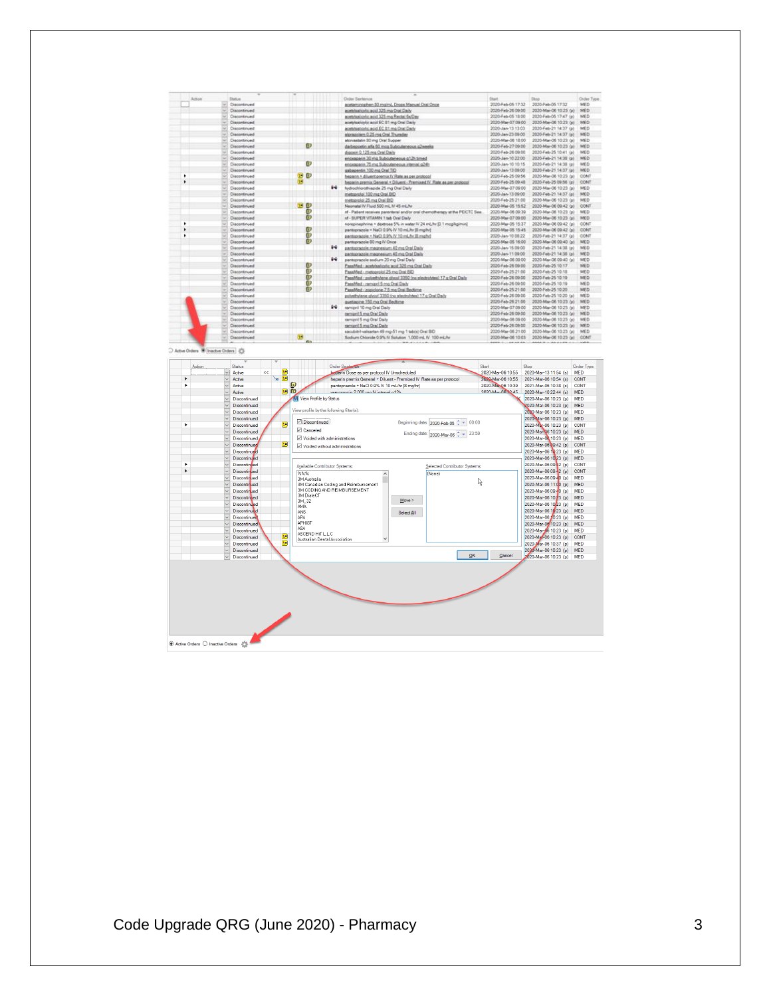| Status<br><b>Order Sentence</b><br>Order Type<br>Skop<br>Discontinued<br>2020-Feb-05 17:32<br>2020-Feb-05 17:32<br>MED<br>acetaminophen 30 mg/ml, Drops Manual Oral Once<br>2020-Feb-26 09:00<br>2020-Mar-06 10:23 (p)<br>MED<br>Discontinued<br>acetylsalicylic acid 325 mg Oral Daily<br>2020-Feb-05 18:00<br>2020-Feb-05 17.47 (p)<br>MED<br>Discontinued<br>acebisalicviic acid 325 mg Rectai forDay<br>2020-Mar-07 09:00<br>Discontinued<br>acetylsalicylic acid EC 81 mg Oral Daily<br>2020-Mar-06 10:23 (p)<br>MED<br>acetdsaliovic acid EC 81 mg Oral Daily<br>2020-Jan-13 13:03<br>2020-Feb-21 14:37 (p)<br>MED<br>Discontinued<br>2020-Feb-21 14:37 (p)<br>Discontinued<br>siprazolam 0.25 mg Oral Thursday<br>2020-Jan-23 09:00<br>MED<br>2020-Mar-06 18:00<br>2020-Mar-06 10:23 (p)<br>MED<br>Discontinued<br>atonisatatin 80 mg Oral Supper<br>$\boldsymbol{v}$<br>2020-Mar-06 10:23 (p)<br>darbezoetin alfa 60 moa Buboutaneous silweeks<br>2020-Feb-27 09:00<br>MED<br>Discontinued<br>Discontinued<br>digasin 0.125 mg Oral Daily<br>2020-Feb-26 09:00<br>2020-Feb-25 10:41 (p)<br>MED<br>Discontinued<br>2020-Jan-10 22:00<br>2020-Feb-2114:38 (p)<br>MED<br>encropperin 30 mg Subcuteneous g12h timed<br>o<br>2020-Feb-21 14:38 (p)<br>Discontinued<br>2020-Jan-10 10:15<br>MED<br>enciosoparin 75 mg Subcutaneous intense g24h<br>Discontinued<br>2020-Jan-13 09:00<br>2020-Feb-21 14:37 (p)<br>MED<br>gabapentin 100 mg Oral TID<br>œ<br>2020-Feb-25 09:56<br>2020-Mar-06 10:23 (a)<br>CONT<br>Disnontinued<br>bepacin . diluent premix IV Rate as per protocol<br>2020-Feb-25 09:48<br>2020-Feb-25 09:56 (p)<br>Discontinued<br>heparin premix General . Diluent - Premixed IV Rate as per protocol<br>$9 - 4$<br>Discontinued<br>hydrochlorothiazide 25 mg Oral Daily<br>2020-Mar-07 09:00<br>2020-Mar-06 10:23 (p)<br>MED<br>2020-Jan-13 09:00<br>2020-Feb-21 14:37 (p)<br>MED<br>Discontinued<br>metoproloi 100 mig Oral BID<br>Discontinued<br>metoproiol 25 mg Oral EID<br>2020-Feb-25 21:00<br>2020-Mar-06 10:23 (p)<br>MED<br>D<br>2020-Mar-05 15:52<br>2020-Mar-06 09:42 (p)<br>CONT<br>Discontinued<br>Neonatal IV Fluid 500 ml, IV 45 ml, Iv<br>ω<br>2020-Mar-06 09:39<br>2020-Mar-06 10:23 (p)<br>Discontinued<br>rd - Patient receives parenteral and/or oral chemotherapy at the PEICTC See<br>MED<br>Ø<br>Discontinued<br>rd - SUPER VITAMIN 1 tab Oral Daily<br>2020-Mar-07 09:00<br>2020-Mar-06 10:23 (p)<br>MED<br>2020-Mar-05 15:37<br>2020-Mar-06 09:42 (p)<br>Discontinued<br>norepinephrine · dextrose 5% in water IV 24 mL/hr (0.1 mogligimin)<br>CONT<br>Discontinued<br>pantoprazole + NaCl 0.9% IV 10 mL/hr (8 mg/hr)<br>2020-Mar-05 15:45<br>2020-Mar-06 09:42 (p)<br>CONT<br>D<br>CONT<br>2020-Jan-10 08:22<br>2020-Feb-21 14:37 (p)<br>Discontinued<br>partoprazole + NaCl 0.9% IV 10 mL/br III ma/hr)<br>$\boldsymbol{v}$<br>2020-Mar-05 16:00<br>2020-Mar-06 09:40 (p)<br>Discontinued<br>pantoprazole 80 mg IV Once<br>MED<br>94<br>Discontinued<br>pantoprazole magnesium 40 mg Oral Daily<br>2020-Jan-15 09:00<br>2020-Feb-21 14:38 (p)<br>MED<br>Discontinued<br>2020-Jan-11 09:00<br>2020-Feb-21 14:38 (p)<br>MED<br>pantoprazole magnesium 40 mg Oral Daily<br>$4 - 4$<br>2020-Mar-06 09:00<br>Discontinued<br>pantoprazole sodium 20 mg Oral Daily<br>2020-Mar-06 09:40 (p)<br>MED<br>D<br>2020-Feb-26 09:00<br>2020-Feb-25 10:17<br>MED<br>Discontinued<br>PassMed - acetylsalicylic acid 325 mg Oral Daily<br>ěeo<br>2020-Feb-25 21:00<br>2020-Feb-25 10:18<br>MED<br>Discontinued<br>PassMed - metoproloi 25 mg Oral BID<br>Discontinued<br>PassMed - polyethylene givcol 3350 (no electrolytes) 17 g Oral Daily<br>2020-Feb-26 09:00<br>2020-Feb-25 10:10<br>MED<br>Discontinued<br>2020-Feb-26 09:00<br>2020-Feb-25 10:19<br>MED<br>PassMed - ramipril 5 mg Oral Daily<br>2020-Feb-25 21:00<br>2020-Feb-25 10:20<br>MED<br>Discontinued<br>œ<br>PassMed - zopicione 7.5 mg Oral Bedtime<br>2020-Feb-26 09:00<br>2020-Feb-25 10:20 (p)<br>MED<br>Discontinued<br>polyethylene glycol 3350 (no electrolytes) 17 g Oral Daily<br>2020-Feb-26 21:00<br>2020-Mar-06 10:23 (p)<br>MED<br>Discontinued<br>quetiagine 150 mg Oral Bedtime<br>$^{2-2}$<br>Discontinued<br>remipril 10 mg Oral Daily<br>2020-Mar-07 09:00<br>2020-Mar-06 10:23 (p)<br>MED<br>Discontinued<br>ramipril 5 mg Oral Daily<br>2020-Feb-26 09:00<br>2020-Mar-06 10:23 (p)<br>MED<br>ramipril 5 mg Oral Daily<br>2020-Mar-06 09:00<br>2020-Mar-06 10:23 (p)<br>MED<br>Discontinued<br>Discontinued<br>2020-Feb-26 09:00<br>2020-Mar-06 10:23 (p)<br>MED<br>ramipol 5 mg Oral Daily<br>2020-Mar-06 21:00<br>2020-Mar-06 10:23 (p)<br>sacubitri-valastan 49 mo 51 mo 1 tabla) Oral BID<br>MED<br>Discontinued<br>Sodium Chloride 0.9% IV Solution 1.000 mL IV 100 mL/hr<br>2020-Mar-06 10:03<br>2020 Mar 06 10:23 (p)<br>Discontinued<br>CONT<br>Order Ser<br>Action<br><b>Status</b><br>Start<br>Stop<br>Order Type<br>в<br>æ<br>eparin Dose as per protocol IV Unscheduled<br>2020-Mar-06 10:55<br>2020-Mar-13 11:54 (s)<br><b>MED</b><br>Active<br>d G<br>2020-Mar-06 10:55<br>Active<br>heparin premix General + Diluent - Premixed IV Rate as per protocol<br>2021-Mar-06 10:54 (s)<br><b>CONT</b><br>D<br>Active<br>pantoprazole + NaCl 0.9% IV 10 mL/hr [8 mg/hr]<br>2020-Mar 06 10:39<br>2021-Mar-06 10:38 (s)<br><b>CONT</b><br>日用<br>2020-Mar-06 22:45<br>$\vee$<br>Active<br>vancomerin 2.000 mg M intensit g12h<br>2020-Mar-10 22:44 (s)<br><b>MED</b><br>M View Profile by Status<br>2020-Mar-06 10:23 (p)<br>Discontinued<br><b>MED</b><br>Discontinued<br>2020-Mar-06 10:23 (p)<br><b>MED</b><br>View profile by the following filter(s):<br>2020-Mar-06 10:23 (p)<br><b>MED</b><br>Discontinued<br>$\ddot{\phantom{0}}$<br>Discontinued<br>2020-Mar-06 10:23 (p)<br><b>MED</b><br>Discontinued<br>Beginning date: 2020-Feb-05 + 00:00<br>G<br>2020-Mar-06 10:23 (p)<br>CONT<br>Discontinued<br><b>⊡</b> Canceled<br>Discontinued<br>2020-Mar-06 10:23 (p)<br><b>MED</b><br>$\vee$<br>Ending date: 2020-Mar-06 + 23:59<br>Voided with administrations<br>2020-Mar-06 10:23 (p)<br><b>MED</b><br>Discontinued<br>Ħ<br>$\vee$<br>Discontinued<br>2020-Mar-06 09:42 (p)<br>CONT<br><b><math>\boxdot</math></b> Voided without administrations<br>2020-Mar-06 10:23 (p)<br>Discontinued<br><b>MED</b><br>$\ddot{\phantom{0}}$<br>Discontinued<br>2020-Mar-06 10 23 (p)<br>MED<br>2020-Mar-06 09:42 (p)<br>CONT<br><b>Discontinued</b><br>Ayailable Contributor Systems:<br>Selected Contributor Systems:<br>$\checkmark$<br><b>Discontinued</b><br>2020-Mar-06 09:42 (p)<br><b>CONT</b><br>%%%<br>(None)<br>2020-Mar-06 09:40 (p)<br><b>Discontinued</b><br><b>MED</b><br>3M Australia<br>R<br><b>Discontinued</b><br>3M Canadian Coding and Reimbursement<br>2020-Mar-06 11:00 (p)<br><b>MED</b><br>3M CODING AND REIMBURSEMENT<br>2020-Mar-06 09:40 (p)<br>Discontinued<br><b>MED</b><br><b>3M DialeCT</b><br>$\ddot{\phantom{0}}$<br><b>Discontin</b> ted<br>2020-Mar-06 10:23 (p)<br><b>MED</b><br>Move ><br>3M 32<br>2020-Mar-06 10 23 (p)<br><b>MED</b><br>Discontinued<br><b>AMA</b><br>2020-Mar-06 19:23 (p)<br>Discontinued<br>MED<br>ANS<br>Select All<br>2020-Mar-06 10:23 (p)<br>Discontinued<br>APA<br>MED<br>APHIST<br>2020-Mar-06 10:23 (p)<br>$\vee$<br><b>MED</b><br>Discontinued<br>ASA<br>2020-Mar-06 10:23 (p)<br>MED<br>Discontinued<br>ASCEND HIT L.L.C<br>×<br>2020-Mar-06 10:23 (p)<br><b>CONT</b><br>Discontinued<br>Australian Dental Association<br>÷<br>2020-Mar-06 10:37 (p)<br><b>MED</b><br>Discontinued<br>2020-Mar-06 10:23 (p)<br>MED<br>Discontinued<br>QK<br>Cancel<br>2020-Mar-06 10:23 (p)<br>$\vee$<br>Discontinued<br><b>MED</b> | Active Orders (@ Inactive Orders   {C}<br>×<br>٠ |  |  |  |      |
|-----------------------------------------------------------------------------------------------------------------------------------------------------------------------------------------------------------------------------------------------------------------------------------------------------------------------------------------------------------------------------------------------------------------------------------------------------------------------------------------------------------------------------------------------------------------------------------------------------------------------------------------------------------------------------------------------------------------------------------------------------------------------------------------------------------------------------------------------------------------------------------------------------------------------------------------------------------------------------------------------------------------------------------------------------------------------------------------------------------------------------------------------------------------------------------------------------------------------------------------------------------------------------------------------------------------------------------------------------------------------------------------------------------------------------------------------------------------------------------------------------------------------------------------------------------------------------------------------------------------------------------------------------------------------------------------------------------------------------------------------------------------------------------------------------------------------------------------------------------------------------------------------------------------------------------------------------------------------------------------------------------------------------------------------------------------------------------------------------------------------------------------------------------------------------------------------------------------------------------------------------------------------------------------------------------------------------------------------------------------------------------------------------------------------------------------------------------------------------------------------------------------------------------------------------------------------------------------------------------------------------------------------------------------------------------------------------------------------------------------------------------------------------------------------------------------------------------------------------------------------------------------------------------------------------------------------------------------------------------------------------------------------------------------------------------------------------------------------------------------------------------------------------------------------------------------------------------------------------------------------------------------------------------------------------------------------------------------------------------------------------------------------------------------------------------------------------------------------------------------------------------------------------------------------------------------------------------------------------------------------------------------------------------------------------------------------------------------------------------------------------------------------------------------------------------------------------------------------------------------------------------------------------------------------------------------------------------------------------------------------------------------------------------------------------------------------------------------------------------------------------------------------------------------------------------------------------------------------------------------------------------------------------------------------------------------------------------------------------------------------------------------------------------------------------------------------------------------------------------------------------------------------------------------------------------------------------------------------------------------------------------------------------------------------------------------------------------------------------------------------------------------------------------------------------------------------------------------------------------------------------------------------------------------------------------------------------------------------------------------------------------------------------------------------------------------------------------------------------------------------------------------------------------------------------------------------------------------------------------------------------------------------------------------------------------------------------------------------------------------------------------------------------------------------------------------------------------------------------------------------------------------------------------------------------------------------------------------------------------------------------------------------------------------------------------------------------------------------------------------------------------------------------------------------------------------------------------------------------------------------------------------------------------------------------------------------------------------------------------------------------------------------------------------------------------------------------------------------------------------------------------------------------------------------------------------------------------------------------------------------------------------------------------------------------------------------------------------------------------------------------------------------------------------------------------------------------------------------------------------------------------------------------------------------------------------------------------------------------------------------------------------------------------------------------------------------------------------------------------------------------------------------------------------------------------------------------------------------------------------------------------------------------------------------------------------------------------------------------------------------------------------------------------------------------------------------------------------------------------------------------------------------------------------------------------------------------------------------------------------------------------------------------------------------------------------------------------------------------------------------------------------------------------------------------------------------------------------------------------------------------------------------------------------------------------------------------------------------------------------------------------------------------------------------------------------------------------------|--------------------------------------------------|--|--|--|------|
|                                                                                                                                                                                                                                                                                                                                                                                                                                                                                                                                                                                                                                                                                                                                                                                                                                                                                                                                                                                                                                                                                                                                                                                                                                                                                                                                                                                                                                                                                                                                                                                                                                                                                                                                                                                                                                                                                                                                                                                                                                                                                                                                                                                                                                                                                                                                                                                                                                                                                                                                                                                                                                                                                                                                                                                                                                                                                                                                                                                                                                                                                                                                                                                                                                                                                                                                                                                                                                                                                                                                                                                                                                                                                                                                                                                                                                                                                                                                                                                                                                                                                                                                                                                                                                                                                                                                                                                                                                                                                                                                                                                                                                                                                                                                                                                                                                                                                                                                                                                                                                                                                                                                                                                                                                                                                                                                                                                                                                                                                                                                                                                                                                                                                                                                                                                                                                                                                                                                                                                                                                                                                                                                                                                                                                                                                                                                                                                                                                                                                                                                                                                                                                                                                                                                                                                                                                                                                                                                                                                                                                                                                                                                                                                                                                                                                                                                                                                                                                                                                                                                                                                                                                                                                                                 |                                                  |  |  |  |      |
|                                                                                                                                                                                                                                                                                                                                                                                                                                                                                                                                                                                                                                                                                                                                                                                                                                                                                                                                                                                                                                                                                                                                                                                                                                                                                                                                                                                                                                                                                                                                                                                                                                                                                                                                                                                                                                                                                                                                                                                                                                                                                                                                                                                                                                                                                                                                                                                                                                                                                                                                                                                                                                                                                                                                                                                                                                                                                                                                                                                                                                                                                                                                                                                                                                                                                                                                                                                                                                                                                                                                                                                                                                                                                                                                                                                                                                                                                                                                                                                                                                                                                                                                                                                                                                                                                                                                                                                                                                                                                                                                                                                                                                                                                                                                                                                                                                                                                                                                                                                                                                                                                                                                                                                                                                                                                                                                                                                                                                                                                                                                                                                                                                                                                                                                                                                                                                                                                                                                                                                                                                                                                                                                                                                                                                                                                                                                                                                                                                                                                                                                                                                                                                                                                                                                                                                                                                                                                                                                                                                                                                                                                                                                                                                                                                                                                                                                                                                                                                                                                                                                                                                                                                                                                                                 |                                                  |  |  |  |      |
|                                                                                                                                                                                                                                                                                                                                                                                                                                                                                                                                                                                                                                                                                                                                                                                                                                                                                                                                                                                                                                                                                                                                                                                                                                                                                                                                                                                                                                                                                                                                                                                                                                                                                                                                                                                                                                                                                                                                                                                                                                                                                                                                                                                                                                                                                                                                                                                                                                                                                                                                                                                                                                                                                                                                                                                                                                                                                                                                                                                                                                                                                                                                                                                                                                                                                                                                                                                                                                                                                                                                                                                                                                                                                                                                                                                                                                                                                                                                                                                                                                                                                                                                                                                                                                                                                                                                                                                                                                                                                                                                                                                                                                                                                                                                                                                                                                                                                                                                                                                                                                                                                                                                                                                                                                                                                                                                                                                                                                                                                                                                                                                                                                                                                                                                                                                                                                                                                                                                                                                                                                                                                                                                                                                                                                                                                                                                                                                                                                                                                                                                                                                                                                                                                                                                                                                                                                                                                                                                                                                                                                                                                                                                                                                                                                                                                                                                                                                                                                                                                                                                                                                                                                                                                                                 |                                                  |  |  |  |      |
|                                                                                                                                                                                                                                                                                                                                                                                                                                                                                                                                                                                                                                                                                                                                                                                                                                                                                                                                                                                                                                                                                                                                                                                                                                                                                                                                                                                                                                                                                                                                                                                                                                                                                                                                                                                                                                                                                                                                                                                                                                                                                                                                                                                                                                                                                                                                                                                                                                                                                                                                                                                                                                                                                                                                                                                                                                                                                                                                                                                                                                                                                                                                                                                                                                                                                                                                                                                                                                                                                                                                                                                                                                                                                                                                                                                                                                                                                                                                                                                                                                                                                                                                                                                                                                                                                                                                                                                                                                                                                                                                                                                                                                                                                                                                                                                                                                                                                                                                                                                                                                                                                                                                                                                                                                                                                                                                                                                                                                                                                                                                                                                                                                                                                                                                                                                                                                                                                                                                                                                                                                                                                                                                                                                                                                                                                                                                                                                                                                                                                                                                                                                                                                                                                                                                                                                                                                                                                                                                                                                                                                                                                                                                                                                                                                                                                                                                                                                                                                                                                                                                                                                                                                                                                                                 |                                                  |  |  |  |      |
|                                                                                                                                                                                                                                                                                                                                                                                                                                                                                                                                                                                                                                                                                                                                                                                                                                                                                                                                                                                                                                                                                                                                                                                                                                                                                                                                                                                                                                                                                                                                                                                                                                                                                                                                                                                                                                                                                                                                                                                                                                                                                                                                                                                                                                                                                                                                                                                                                                                                                                                                                                                                                                                                                                                                                                                                                                                                                                                                                                                                                                                                                                                                                                                                                                                                                                                                                                                                                                                                                                                                                                                                                                                                                                                                                                                                                                                                                                                                                                                                                                                                                                                                                                                                                                                                                                                                                                                                                                                                                                                                                                                                                                                                                                                                                                                                                                                                                                                                                                                                                                                                                                                                                                                                                                                                                                                                                                                                                                                                                                                                                                                                                                                                                                                                                                                                                                                                                                                                                                                                                                                                                                                                                                                                                                                                                                                                                                                                                                                                                                                                                                                                                                                                                                                                                                                                                                                                                                                                                                                                                                                                                                                                                                                                                                                                                                                                                                                                                                                                                                                                                                                                                                                                                                                 |                                                  |  |  |  |      |
|                                                                                                                                                                                                                                                                                                                                                                                                                                                                                                                                                                                                                                                                                                                                                                                                                                                                                                                                                                                                                                                                                                                                                                                                                                                                                                                                                                                                                                                                                                                                                                                                                                                                                                                                                                                                                                                                                                                                                                                                                                                                                                                                                                                                                                                                                                                                                                                                                                                                                                                                                                                                                                                                                                                                                                                                                                                                                                                                                                                                                                                                                                                                                                                                                                                                                                                                                                                                                                                                                                                                                                                                                                                                                                                                                                                                                                                                                                                                                                                                                                                                                                                                                                                                                                                                                                                                                                                                                                                                                                                                                                                                                                                                                                                                                                                                                                                                                                                                                                                                                                                                                                                                                                                                                                                                                                                                                                                                                                                                                                                                                                                                                                                                                                                                                                                                                                                                                                                                                                                                                                                                                                                                                                                                                                                                                                                                                                                                                                                                                                                                                                                                                                                                                                                                                                                                                                                                                                                                                                                                                                                                                                                                                                                                                                                                                                                                                                                                                                                                                                                                                                                                                                                                                                                 |                                                  |  |  |  |      |
|                                                                                                                                                                                                                                                                                                                                                                                                                                                                                                                                                                                                                                                                                                                                                                                                                                                                                                                                                                                                                                                                                                                                                                                                                                                                                                                                                                                                                                                                                                                                                                                                                                                                                                                                                                                                                                                                                                                                                                                                                                                                                                                                                                                                                                                                                                                                                                                                                                                                                                                                                                                                                                                                                                                                                                                                                                                                                                                                                                                                                                                                                                                                                                                                                                                                                                                                                                                                                                                                                                                                                                                                                                                                                                                                                                                                                                                                                                                                                                                                                                                                                                                                                                                                                                                                                                                                                                                                                                                                                                                                                                                                                                                                                                                                                                                                                                                                                                                                                                                                                                                                                                                                                                                                                                                                                                                                                                                                                                                                                                                                                                                                                                                                                                                                                                                                                                                                                                                                                                                                                                                                                                                                                                                                                                                                                                                                                                                                                                                                                                                                                                                                                                                                                                                                                                                                                                                                                                                                                                                                                                                                                                                                                                                                                                                                                                                                                                                                                                                                                                                                                                                                                                                                                                                 |                                                  |  |  |  |      |
|                                                                                                                                                                                                                                                                                                                                                                                                                                                                                                                                                                                                                                                                                                                                                                                                                                                                                                                                                                                                                                                                                                                                                                                                                                                                                                                                                                                                                                                                                                                                                                                                                                                                                                                                                                                                                                                                                                                                                                                                                                                                                                                                                                                                                                                                                                                                                                                                                                                                                                                                                                                                                                                                                                                                                                                                                                                                                                                                                                                                                                                                                                                                                                                                                                                                                                                                                                                                                                                                                                                                                                                                                                                                                                                                                                                                                                                                                                                                                                                                                                                                                                                                                                                                                                                                                                                                                                                                                                                                                                                                                                                                                                                                                                                                                                                                                                                                                                                                                                                                                                                                                                                                                                                                                                                                                                                                                                                                                                                                                                                                                                                                                                                                                                                                                                                                                                                                                                                                                                                                                                                                                                                                                                                                                                                                                                                                                                                                                                                                                                                                                                                                                                                                                                                                                                                                                                                                                                                                                                                                                                                                                                                                                                                                                                                                                                                                                                                                                                                                                                                                                                                                                                                                                                                 |                                                  |  |  |  |      |
|                                                                                                                                                                                                                                                                                                                                                                                                                                                                                                                                                                                                                                                                                                                                                                                                                                                                                                                                                                                                                                                                                                                                                                                                                                                                                                                                                                                                                                                                                                                                                                                                                                                                                                                                                                                                                                                                                                                                                                                                                                                                                                                                                                                                                                                                                                                                                                                                                                                                                                                                                                                                                                                                                                                                                                                                                                                                                                                                                                                                                                                                                                                                                                                                                                                                                                                                                                                                                                                                                                                                                                                                                                                                                                                                                                                                                                                                                                                                                                                                                                                                                                                                                                                                                                                                                                                                                                                                                                                                                                                                                                                                                                                                                                                                                                                                                                                                                                                                                                                                                                                                                                                                                                                                                                                                                                                                                                                                                                                                                                                                                                                                                                                                                                                                                                                                                                                                                                                                                                                                                                                                                                                                                                                                                                                                                                                                                                                                                                                                                                                                                                                                                                                                                                                                                                                                                                                                                                                                                                                                                                                                                                                                                                                                                                                                                                                                                                                                                                                                                                                                                                                                                                                                                                                 |                                                  |  |  |  |      |
|                                                                                                                                                                                                                                                                                                                                                                                                                                                                                                                                                                                                                                                                                                                                                                                                                                                                                                                                                                                                                                                                                                                                                                                                                                                                                                                                                                                                                                                                                                                                                                                                                                                                                                                                                                                                                                                                                                                                                                                                                                                                                                                                                                                                                                                                                                                                                                                                                                                                                                                                                                                                                                                                                                                                                                                                                                                                                                                                                                                                                                                                                                                                                                                                                                                                                                                                                                                                                                                                                                                                                                                                                                                                                                                                                                                                                                                                                                                                                                                                                                                                                                                                                                                                                                                                                                                                                                                                                                                                                                                                                                                                                                                                                                                                                                                                                                                                                                                                                                                                                                                                                                                                                                                                                                                                                                                                                                                                                                                                                                                                                                                                                                                                                                                                                                                                                                                                                                                                                                                                                                                                                                                                                                                                                                                                                                                                                                                                                                                                                                                                                                                                                                                                                                                                                                                                                                                                                                                                                                                                                                                                                                                                                                                                                                                                                                                                                                                                                                                                                                                                                                                                                                                                                                                 |                                                  |  |  |  |      |
|                                                                                                                                                                                                                                                                                                                                                                                                                                                                                                                                                                                                                                                                                                                                                                                                                                                                                                                                                                                                                                                                                                                                                                                                                                                                                                                                                                                                                                                                                                                                                                                                                                                                                                                                                                                                                                                                                                                                                                                                                                                                                                                                                                                                                                                                                                                                                                                                                                                                                                                                                                                                                                                                                                                                                                                                                                                                                                                                                                                                                                                                                                                                                                                                                                                                                                                                                                                                                                                                                                                                                                                                                                                                                                                                                                                                                                                                                                                                                                                                                                                                                                                                                                                                                                                                                                                                                                                                                                                                                                                                                                                                                                                                                                                                                                                                                                                                                                                                                                                                                                                                                                                                                                                                                                                                                                                                                                                                                                                                                                                                                                                                                                                                                                                                                                                                                                                                                                                                                                                                                                                                                                                                                                                                                                                                                                                                                                                                                                                                                                                                                                                                                                                                                                                                                                                                                                                                                                                                                                                                                                                                                                                                                                                                                                                                                                                                                                                                                                                                                                                                                                                                                                                                                                                 |                                                  |  |  |  |      |
|                                                                                                                                                                                                                                                                                                                                                                                                                                                                                                                                                                                                                                                                                                                                                                                                                                                                                                                                                                                                                                                                                                                                                                                                                                                                                                                                                                                                                                                                                                                                                                                                                                                                                                                                                                                                                                                                                                                                                                                                                                                                                                                                                                                                                                                                                                                                                                                                                                                                                                                                                                                                                                                                                                                                                                                                                                                                                                                                                                                                                                                                                                                                                                                                                                                                                                                                                                                                                                                                                                                                                                                                                                                                                                                                                                                                                                                                                                                                                                                                                                                                                                                                                                                                                                                                                                                                                                                                                                                                                                                                                                                                                                                                                                                                                                                                                                                                                                                                                                                                                                                                                                                                                                                                                                                                                                                                                                                                                                                                                                                                                                                                                                                                                                                                                                                                                                                                                                                                                                                                                                                                                                                                                                                                                                                                                                                                                                                                                                                                                                                                                                                                                                                                                                                                                                                                                                                                                                                                                                                                                                                                                                                                                                                                                                                                                                                                                                                                                                                                                                                                                                                                                                                                                                                 |                                                  |  |  |  |      |
|                                                                                                                                                                                                                                                                                                                                                                                                                                                                                                                                                                                                                                                                                                                                                                                                                                                                                                                                                                                                                                                                                                                                                                                                                                                                                                                                                                                                                                                                                                                                                                                                                                                                                                                                                                                                                                                                                                                                                                                                                                                                                                                                                                                                                                                                                                                                                                                                                                                                                                                                                                                                                                                                                                                                                                                                                                                                                                                                                                                                                                                                                                                                                                                                                                                                                                                                                                                                                                                                                                                                                                                                                                                                                                                                                                                                                                                                                                                                                                                                                                                                                                                                                                                                                                                                                                                                                                                                                                                                                                                                                                                                                                                                                                                                                                                                                                                                                                                                                                                                                                                                                                                                                                                                                                                                                                                                                                                                                                                                                                                                                                                                                                                                                                                                                                                                                                                                                                                                                                                                                                                                                                                                                                                                                                                                                                                                                                                                                                                                                                                                                                                                                                                                                                                                                                                                                                                                                                                                                                                                                                                                                                                                                                                                                                                                                                                                                                                                                                                                                                                                                                                                                                                                                                                 |                                                  |  |  |  |      |
|                                                                                                                                                                                                                                                                                                                                                                                                                                                                                                                                                                                                                                                                                                                                                                                                                                                                                                                                                                                                                                                                                                                                                                                                                                                                                                                                                                                                                                                                                                                                                                                                                                                                                                                                                                                                                                                                                                                                                                                                                                                                                                                                                                                                                                                                                                                                                                                                                                                                                                                                                                                                                                                                                                                                                                                                                                                                                                                                                                                                                                                                                                                                                                                                                                                                                                                                                                                                                                                                                                                                                                                                                                                                                                                                                                                                                                                                                                                                                                                                                                                                                                                                                                                                                                                                                                                                                                                                                                                                                                                                                                                                                                                                                                                                                                                                                                                                                                                                                                                                                                                                                                                                                                                                                                                                                                                                                                                                                                                                                                                                                                                                                                                                                                                                                                                                                                                                                                                                                                                                                                                                                                                                                                                                                                                                                                                                                                                                                                                                                                                                                                                                                                                                                                                                                                                                                                                                                                                                                                                                                                                                                                                                                                                                                                                                                                                                                                                                                                                                                                                                                                                                                                                                                                                 |                                                  |  |  |  |      |
|                                                                                                                                                                                                                                                                                                                                                                                                                                                                                                                                                                                                                                                                                                                                                                                                                                                                                                                                                                                                                                                                                                                                                                                                                                                                                                                                                                                                                                                                                                                                                                                                                                                                                                                                                                                                                                                                                                                                                                                                                                                                                                                                                                                                                                                                                                                                                                                                                                                                                                                                                                                                                                                                                                                                                                                                                                                                                                                                                                                                                                                                                                                                                                                                                                                                                                                                                                                                                                                                                                                                                                                                                                                                                                                                                                                                                                                                                                                                                                                                                                                                                                                                                                                                                                                                                                                                                                                                                                                                                                                                                                                                                                                                                                                                                                                                                                                                                                                                                                                                                                                                                                                                                                                                                                                                                                                                                                                                                                                                                                                                                                                                                                                                                                                                                                                                                                                                                                                                                                                                                                                                                                                                                                                                                                                                                                                                                                                                                                                                                                                                                                                                                                                                                                                                                                                                                                                                                                                                                                                                                                                                                                                                                                                                                                                                                                                                                                                                                                                                                                                                                                                                                                                                                                                 |                                                  |  |  |  |      |
|                                                                                                                                                                                                                                                                                                                                                                                                                                                                                                                                                                                                                                                                                                                                                                                                                                                                                                                                                                                                                                                                                                                                                                                                                                                                                                                                                                                                                                                                                                                                                                                                                                                                                                                                                                                                                                                                                                                                                                                                                                                                                                                                                                                                                                                                                                                                                                                                                                                                                                                                                                                                                                                                                                                                                                                                                                                                                                                                                                                                                                                                                                                                                                                                                                                                                                                                                                                                                                                                                                                                                                                                                                                                                                                                                                                                                                                                                                                                                                                                                                                                                                                                                                                                                                                                                                                                                                                                                                                                                                                                                                                                                                                                                                                                                                                                                                                                                                                                                                                                                                                                                                                                                                                                                                                                                                                                                                                                                                                                                                                                                                                                                                                                                                                                                                                                                                                                                                                                                                                                                                                                                                                                                                                                                                                                                                                                                                                                                                                                                                                                                                                                                                                                                                                                                                                                                                                                                                                                                                                                                                                                                                                                                                                                                                                                                                                                                                                                                                                                                                                                                                                                                                                                                                                 |                                                  |  |  |  |      |
|                                                                                                                                                                                                                                                                                                                                                                                                                                                                                                                                                                                                                                                                                                                                                                                                                                                                                                                                                                                                                                                                                                                                                                                                                                                                                                                                                                                                                                                                                                                                                                                                                                                                                                                                                                                                                                                                                                                                                                                                                                                                                                                                                                                                                                                                                                                                                                                                                                                                                                                                                                                                                                                                                                                                                                                                                                                                                                                                                                                                                                                                                                                                                                                                                                                                                                                                                                                                                                                                                                                                                                                                                                                                                                                                                                                                                                                                                                                                                                                                                                                                                                                                                                                                                                                                                                                                                                                                                                                                                                                                                                                                                                                                                                                                                                                                                                                                                                                                                                                                                                                                                                                                                                                                                                                                                                                                                                                                                                                                                                                                                                                                                                                                                                                                                                                                                                                                                                                                                                                                                                                                                                                                                                                                                                                                                                                                                                                                                                                                                                                                                                                                                                                                                                                                                                                                                                                                                                                                                                                                                                                                                                                                                                                                                                                                                                                                                                                                                                                                                                                                                                                                                                                                                                                 |                                                  |  |  |  |      |
|                                                                                                                                                                                                                                                                                                                                                                                                                                                                                                                                                                                                                                                                                                                                                                                                                                                                                                                                                                                                                                                                                                                                                                                                                                                                                                                                                                                                                                                                                                                                                                                                                                                                                                                                                                                                                                                                                                                                                                                                                                                                                                                                                                                                                                                                                                                                                                                                                                                                                                                                                                                                                                                                                                                                                                                                                                                                                                                                                                                                                                                                                                                                                                                                                                                                                                                                                                                                                                                                                                                                                                                                                                                                                                                                                                                                                                                                                                                                                                                                                                                                                                                                                                                                                                                                                                                                                                                                                                                                                                                                                                                                                                                                                                                                                                                                                                                                                                                                                                                                                                                                                                                                                                                                                                                                                                                                                                                                                                                                                                                                                                                                                                                                                                                                                                                                                                                                                                                                                                                                                                                                                                                                                                                                                                                                                                                                                                                                                                                                                                                                                                                                                                                                                                                                                                                                                                                                                                                                                                                                                                                                                                                                                                                                                                                                                                                                                                                                                                                                                                                                                                                                                                                                                                                 |                                                  |  |  |  |      |
|                                                                                                                                                                                                                                                                                                                                                                                                                                                                                                                                                                                                                                                                                                                                                                                                                                                                                                                                                                                                                                                                                                                                                                                                                                                                                                                                                                                                                                                                                                                                                                                                                                                                                                                                                                                                                                                                                                                                                                                                                                                                                                                                                                                                                                                                                                                                                                                                                                                                                                                                                                                                                                                                                                                                                                                                                                                                                                                                                                                                                                                                                                                                                                                                                                                                                                                                                                                                                                                                                                                                                                                                                                                                                                                                                                                                                                                                                                                                                                                                                                                                                                                                                                                                                                                                                                                                                                                                                                                                                                                                                                                                                                                                                                                                                                                                                                                                                                                                                                                                                                                                                                                                                                                                                                                                                                                                                                                                                                                                                                                                                                                                                                                                                                                                                                                                                                                                                                                                                                                                                                                                                                                                                                                                                                                                                                                                                                                                                                                                                                                                                                                                                                                                                                                                                                                                                                                                                                                                                                                                                                                                                                                                                                                                                                                                                                                                                                                                                                                                                                                                                                                                                                                                                                                 |                                                  |  |  |  |      |
|                                                                                                                                                                                                                                                                                                                                                                                                                                                                                                                                                                                                                                                                                                                                                                                                                                                                                                                                                                                                                                                                                                                                                                                                                                                                                                                                                                                                                                                                                                                                                                                                                                                                                                                                                                                                                                                                                                                                                                                                                                                                                                                                                                                                                                                                                                                                                                                                                                                                                                                                                                                                                                                                                                                                                                                                                                                                                                                                                                                                                                                                                                                                                                                                                                                                                                                                                                                                                                                                                                                                                                                                                                                                                                                                                                                                                                                                                                                                                                                                                                                                                                                                                                                                                                                                                                                                                                                                                                                                                                                                                                                                                                                                                                                                                                                                                                                                                                                                                                                                                                                                                                                                                                                                                                                                                                                                                                                                                                                                                                                                                                                                                                                                                                                                                                                                                                                                                                                                                                                                                                                                                                                                                                                                                                                                                                                                                                                                                                                                                                                                                                                                                                                                                                                                                                                                                                                                                                                                                                                                                                                                                                                                                                                                                                                                                                                                                                                                                                                                                                                                                                                                                                                                                                                 |                                                  |  |  |  |      |
|                                                                                                                                                                                                                                                                                                                                                                                                                                                                                                                                                                                                                                                                                                                                                                                                                                                                                                                                                                                                                                                                                                                                                                                                                                                                                                                                                                                                                                                                                                                                                                                                                                                                                                                                                                                                                                                                                                                                                                                                                                                                                                                                                                                                                                                                                                                                                                                                                                                                                                                                                                                                                                                                                                                                                                                                                                                                                                                                                                                                                                                                                                                                                                                                                                                                                                                                                                                                                                                                                                                                                                                                                                                                                                                                                                                                                                                                                                                                                                                                                                                                                                                                                                                                                                                                                                                                                                                                                                                                                                                                                                                                                                                                                                                                                                                                                                                                                                                                                                                                                                                                                                                                                                                                                                                                                                                                                                                                                                                                                                                                                                                                                                                                                                                                                                                                                                                                                                                                                                                                                                                                                                                                                                                                                                                                                                                                                                                                                                                                                                                                                                                                                                                                                                                                                                                                                                                                                                                                                                                                                                                                                                                                                                                                                                                                                                                                                                                                                                                                                                                                                                                                                                                                                                                 |                                                  |  |  |  | CONT |
|                                                                                                                                                                                                                                                                                                                                                                                                                                                                                                                                                                                                                                                                                                                                                                                                                                                                                                                                                                                                                                                                                                                                                                                                                                                                                                                                                                                                                                                                                                                                                                                                                                                                                                                                                                                                                                                                                                                                                                                                                                                                                                                                                                                                                                                                                                                                                                                                                                                                                                                                                                                                                                                                                                                                                                                                                                                                                                                                                                                                                                                                                                                                                                                                                                                                                                                                                                                                                                                                                                                                                                                                                                                                                                                                                                                                                                                                                                                                                                                                                                                                                                                                                                                                                                                                                                                                                                                                                                                                                                                                                                                                                                                                                                                                                                                                                                                                                                                                                                                                                                                                                                                                                                                                                                                                                                                                                                                                                                                                                                                                                                                                                                                                                                                                                                                                                                                                                                                                                                                                                                                                                                                                                                                                                                                                                                                                                                                                                                                                                                                                                                                                                                                                                                                                                                                                                                                                                                                                                                                                                                                                                                                                                                                                                                                                                                                                                                                                                                                                                                                                                                                                                                                                                                                 |                                                  |  |  |  |      |
|                                                                                                                                                                                                                                                                                                                                                                                                                                                                                                                                                                                                                                                                                                                                                                                                                                                                                                                                                                                                                                                                                                                                                                                                                                                                                                                                                                                                                                                                                                                                                                                                                                                                                                                                                                                                                                                                                                                                                                                                                                                                                                                                                                                                                                                                                                                                                                                                                                                                                                                                                                                                                                                                                                                                                                                                                                                                                                                                                                                                                                                                                                                                                                                                                                                                                                                                                                                                                                                                                                                                                                                                                                                                                                                                                                                                                                                                                                                                                                                                                                                                                                                                                                                                                                                                                                                                                                                                                                                                                                                                                                                                                                                                                                                                                                                                                                                                                                                                                                                                                                                                                                                                                                                                                                                                                                                                                                                                                                                                                                                                                                                                                                                                                                                                                                                                                                                                                                                                                                                                                                                                                                                                                                                                                                                                                                                                                                                                                                                                                                                                                                                                                                                                                                                                                                                                                                                                                                                                                                                                                                                                                                                                                                                                                                                                                                                                                                                                                                                                                                                                                                                                                                                                                                                 |                                                  |  |  |  |      |
|                                                                                                                                                                                                                                                                                                                                                                                                                                                                                                                                                                                                                                                                                                                                                                                                                                                                                                                                                                                                                                                                                                                                                                                                                                                                                                                                                                                                                                                                                                                                                                                                                                                                                                                                                                                                                                                                                                                                                                                                                                                                                                                                                                                                                                                                                                                                                                                                                                                                                                                                                                                                                                                                                                                                                                                                                                                                                                                                                                                                                                                                                                                                                                                                                                                                                                                                                                                                                                                                                                                                                                                                                                                                                                                                                                                                                                                                                                                                                                                                                                                                                                                                                                                                                                                                                                                                                                                                                                                                                                                                                                                                                                                                                                                                                                                                                                                                                                                                                                                                                                                                                                                                                                                                                                                                                                                                                                                                                                                                                                                                                                                                                                                                                                                                                                                                                                                                                                                                                                                                                                                                                                                                                                                                                                                                                                                                                                                                                                                                                                                                                                                                                                                                                                                                                                                                                                                                                                                                                                                                                                                                                                                                                                                                                                                                                                                                                                                                                                                                                                                                                                                                                                                                                                                 |                                                  |  |  |  |      |
|                                                                                                                                                                                                                                                                                                                                                                                                                                                                                                                                                                                                                                                                                                                                                                                                                                                                                                                                                                                                                                                                                                                                                                                                                                                                                                                                                                                                                                                                                                                                                                                                                                                                                                                                                                                                                                                                                                                                                                                                                                                                                                                                                                                                                                                                                                                                                                                                                                                                                                                                                                                                                                                                                                                                                                                                                                                                                                                                                                                                                                                                                                                                                                                                                                                                                                                                                                                                                                                                                                                                                                                                                                                                                                                                                                                                                                                                                                                                                                                                                                                                                                                                                                                                                                                                                                                                                                                                                                                                                                                                                                                                                                                                                                                                                                                                                                                                                                                                                                                                                                                                                                                                                                                                                                                                                                                                                                                                                                                                                                                                                                                                                                                                                                                                                                                                                                                                                                                                                                                                                                                                                                                                                                                                                                                                                                                                                                                                                                                                                                                                                                                                                                                                                                                                                                                                                                                                                                                                                                                                                                                                                                                                                                                                                                                                                                                                                                                                                                                                                                                                                                                                                                                                                                                 |                                                  |  |  |  |      |
|                                                                                                                                                                                                                                                                                                                                                                                                                                                                                                                                                                                                                                                                                                                                                                                                                                                                                                                                                                                                                                                                                                                                                                                                                                                                                                                                                                                                                                                                                                                                                                                                                                                                                                                                                                                                                                                                                                                                                                                                                                                                                                                                                                                                                                                                                                                                                                                                                                                                                                                                                                                                                                                                                                                                                                                                                                                                                                                                                                                                                                                                                                                                                                                                                                                                                                                                                                                                                                                                                                                                                                                                                                                                                                                                                                                                                                                                                                                                                                                                                                                                                                                                                                                                                                                                                                                                                                                                                                                                                                                                                                                                                                                                                                                                                                                                                                                                                                                                                                                                                                                                                                                                                                                                                                                                                                                                                                                                                                                                                                                                                                                                                                                                                                                                                                                                                                                                                                                                                                                                                                                                                                                                                                                                                                                                                                                                                                                                                                                                                                                                                                                                                                                                                                                                                                                                                                                                                                                                                                                                                                                                                                                                                                                                                                                                                                                                                                                                                                                                                                                                                                                                                                                                                                                 |                                                  |  |  |  |      |
|                                                                                                                                                                                                                                                                                                                                                                                                                                                                                                                                                                                                                                                                                                                                                                                                                                                                                                                                                                                                                                                                                                                                                                                                                                                                                                                                                                                                                                                                                                                                                                                                                                                                                                                                                                                                                                                                                                                                                                                                                                                                                                                                                                                                                                                                                                                                                                                                                                                                                                                                                                                                                                                                                                                                                                                                                                                                                                                                                                                                                                                                                                                                                                                                                                                                                                                                                                                                                                                                                                                                                                                                                                                                                                                                                                                                                                                                                                                                                                                                                                                                                                                                                                                                                                                                                                                                                                                                                                                                                                                                                                                                                                                                                                                                                                                                                                                                                                                                                                                                                                                                                                                                                                                                                                                                                                                                                                                                                                                                                                                                                                                                                                                                                                                                                                                                                                                                                                                                                                                                                                                                                                                                                                                                                                                                                                                                                                                                                                                                                                                                                                                                                                                                                                                                                                                                                                                                                                                                                                                                                                                                                                                                                                                                                                                                                                                                                                                                                                                                                                                                                                                                                                                                                                                 |                                                  |  |  |  |      |
|                                                                                                                                                                                                                                                                                                                                                                                                                                                                                                                                                                                                                                                                                                                                                                                                                                                                                                                                                                                                                                                                                                                                                                                                                                                                                                                                                                                                                                                                                                                                                                                                                                                                                                                                                                                                                                                                                                                                                                                                                                                                                                                                                                                                                                                                                                                                                                                                                                                                                                                                                                                                                                                                                                                                                                                                                                                                                                                                                                                                                                                                                                                                                                                                                                                                                                                                                                                                                                                                                                                                                                                                                                                                                                                                                                                                                                                                                                                                                                                                                                                                                                                                                                                                                                                                                                                                                                                                                                                                                                                                                                                                                                                                                                                                                                                                                                                                                                                                                                                                                                                                                                                                                                                                                                                                                                                                                                                                                                                                                                                                                                                                                                                                                                                                                                                                                                                                                                                                                                                                                                                                                                                                                                                                                                                                                                                                                                                                                                                                                                                                                                                                                                                                                                                                                                                                                                                                                                                                                                                                                                                                                                                                                                                                                                                                                                                                                                                                                                                                                                                                                                                                                                                                                                                 |                                                  |  |  |  |      |
|                                                                                                                                                                                                                                                                                                                                                                                                                                                                                                                                                                                                                                                                                                                                                                                                                                                                                                                                                                                                                                                                                                                                                                                                                                                                                                                                                                                                                                                                                                                                                                                                                                                                                                                                                                                                                                                                                                                                                                                                                                                                                                                                                                                                                                                                                                                                                                                                                                                                                                                                                                                                                                                                                                                                                                                                                                                                                                                                                                                                                                                                                                                                                                                                                                                                                                                                                                                                                                                                                                                                                                                                                                                                                                                                                                                                                                                                                                                                                                                                                                                                                                                                                                                                                                                                                                                                                                                                                                                                                                                                                                                                                                                                                                                                                                                                                                                                                                                                                                                                                                                                                                                                                                                                                                                                                                                                                                                                                                                                                                                                                                                                                                                                                                                                                                                                                                                                                                                                                                                                                                                                                                                                                                                                                                                                                                                                                                                                                                                                                                                                                                                                                                                                                                                                                                                                                                                                                                                                                                                                                                                                                                                                                                                                                                                                                                                                                                                                                                                                                                                                                                                                                                                                                                                 |                                                  |  |  |  |      |
|                                                                                                                                                                                                                                                                                                                                                                                                                                                                                                                                                                                                                                                                                                                                                                                                                                                                                                                                                                                                                                                                                                                                                                                                                                                                                                                                                                                                                                                                                                                                                                                                                                                                                                                                                                                                                                                                                                                                                                                                                                                                                                                                                                                                                                                                                                                                                                                                                                                                                                                                                                                                                                                                                                                                                                                                                                                                                                                                                                                                                                                                                                                                                                                                                                                                                                                                                                                                                                                                                                                                                                                                                                                                                                                                                                                                                                                                                                                                                                                                                                                                                                                                                                                                                                                                                                                                                                                                                                                                                                                                                                                                                                                                                                                                                                                                                                                                                                                                                                                                                                                                                                                                                                                                                                                                                                                                                                                                                                                                                                                                                                                                                                                                                                                                                                                                                                                                                                                                                                                                                                                                                                                                                                                                                                                                                                                                                                                                                                                                                                                                                                                                                                                                                                                                                                                                                                                                                                                                                                                                                                                                                                                                                                                                                                                                                                                                                                                                                                                                                                                                                                                                                                                                                                                 |                                                  |  |  |  |      |
|                                                                                                                                                                                                                                                                                                                                                                                                                                                                                                                                                                                                                                                                                                                                                                                                                                                                                                                                                                                                                                                                                                                                                                                                                                                                                                                                                                                                                                                                                                                                                                                                                                                                                                                                                                                                                                                                                                                                                                                                                                                                                                                                                                                                                                                                                                                                                                                                                                                                                                                                                                                                                                                                                                                                                                                                                                                                                                                                                                                                                                                                                                                                                                                                                                                                                                                                                                                                                                                                                                                                                                                                                                                                                                                                                                                                                                                                                                                                                                                                                                                                                                                                                                                                                                                                                                                                                                                                                                                                                                                                                                                                                                                                                                                                                                                                                                                                                                                                                                                                                                                                                                                                                                                                                                                                                                                                                                                                                                                                                                                                                                                                                                                                                                                                                                                                                                                                                                                                                                                                                                                                                                                                                                                                                                                                                                                                                                                                                                                                                                                                                                                                                                                                                                                                                                                                                                                                                                                                                                                                                                                                                                                                                                                                                                                                                                                                                                                                                                                                                                                                                                                                                                                                                                                 |                                                  |  |  |  |      |
|                                                                                                                                                                                                                                                                                                                                                                                                                                                                                                                                                                                                                                                                                                                                                                                                                                                                                                                                                                                                                                                                                                                                                                                                                                                                                                                                                                                                                                                                                                                                                                                                                                                                                                                                                                                                                                                                                                                                                                                                                                                                                                                                                                                                                                                                                                                                                                                                                                                                                                                                                                                                                                                                                                                                                                                                                                                                                                                                                                                                                                                                                                                                                                                                                                                                                                                                                                                                                                                                                                                                                                                                                                                                                                                                                                                                                                                                                                                                                                                                                                                                                                                                                                                                                                                                                                                                                                                                                                                                                                                                                                                                                                                                                                                                                                                                                                                                                                                                                                                                                                                                                                                                                                                                                                                                                                                                                                                                                                                                                                                                                                                                                                                                                                                                                                                                                                                                                                                                                                                                                                                                                                                                                                                                                                                                                                                                                                                                                                                                                                                                                                                                                                                                                                                                                                                                                                                                                                                                                                                                                                                                                                                                                                                                                                                                                                                                                                                                                                                                                                                                                                                                                                                                                                                 |                                                  |  |  |  |      |
|                                                                                                                                                                                                                                                                                                                                                                                                                                                                                                                                                                                                                                                                                                                                                                                                                                                                                                                                                                                                                                                                                                                                                                                                                                                                                                                                                                                                                                                                                                                                                                                                                                                                                                                                                                                                                                                                                                                                                                                                                                                                                                                                                                                                                                                                                                                                                                                                                                                                                                                                                                                                                                                                                                                                                                                                                                                                                                                                                                                                                                                                                                                                                                                                                                                                                                                                                                                                                                                                                                                                                                                                                                                                                                                                                                                                                                                                                                                                                                                                                                                                                                                                                                                                                                                                                                                                                                                                                                                                                                                                                                                                                                                                                                                                                                                                                                                                                                                                                                                                                                                                                                                                                                                                                                                                                                                                                                                                                                                                                                                                                                                                                                                                                                                                                                                                                                                                                                                                                                                                                                                                                                                                                                                                                                                                                                                                                                                                                                                                                                                                                                                                                                                                                                                                                                                                                                                                                                                                                                                                                                                                                                                                                                                                                                                                                                                                                                                                                                                                                                                                                                                                                                                                                                                 |                                                  |  |  |  |      |
|                                                                                                                                                                                                                                                                                                                                                                                                                                                                                                                                                                                                                                                                                                                                                                                                                                                                                                                                                                                                                                                                                                                                                                                                                                                                                                                                                                                                                                                                                                                                                                                                                                                                                                                                                                                                                                                                                                                                                                                                                                                                                                                                                                                                                                                                                                                                                                                                                                                                                                                                                                                                                                                                                                                                                                                                                                                                                                                                                                                                                                                                                                                                                                                                                                                                                                                                                                                                                                                                                                                                                                                                                                                                                                                                                                                                                                                                                                                                                                                                                                                                                                                                                                                                                                                                                                                                                                                                                                                                                                                                                                                                                                                                                                                                                                                                                                                                                                                                                                                                                                                                                                                                                                                                                                                                                                                                                                                                                                                                                                                                                                                                                                                                                                                                                                                                                                                                                                                                                                                                                                                                                                                                                                                                                                                                                                                                                                                                                                                                                                                                                                                                                                                                                                                                                                                                                                                                                                                                                                                                                                                                                                                                                                                                                                                                                                                                                                                                                                                                                                                                                                                                                                                                                                                 |                                                  |  |  |  |      |
|                                                                                                                                                                                                                                                                                                                                                                                                                                                                                                                                                                                                                                                                                                                                                                                                                                                                                                                                                                                                                                                                                                                                                                                                                                                                                                                                                                                                                                                                                                                                                                                                                                                                                                                                                                                                                                                                                                                                                                                                                                                                                                                                                                                                                                                                                                                                                                                                                                                                                                                                                                                                                                                                                                                                                                                                                                                                                                                                                                                                                                                                                                                                                                                                                                                                                                                                                                                                                                                                                                                                                                                                                                                                                                                                                                                                                                                                                                                                                                                                                                                                                                                                                                                                                                                                                                                                                                                                                                                                                                                                                                                                                                                                                                                                                                                                                                                                                                                                                                                                                                                                                                                                                                                                                                                                                                                                                                                                                                                                                                                                                                                                                                                                                                                                                                                                                                                                                                                                                                                                                                                                                                                                                                                                                                                                                                                                                                                                                                                                                                                                                                                                                                                                                                                                                                                                                                                                                                                                                                                                                                                                                                                                                                                                                                                                                                                                                                                                                                                                                                                                                                                                                                                                                                                 |                                                  |  |  |  |      |
|                                                                                                                                                                                                                                                                                                                                                                                                                                                                                                                                                                                                                                                                                                                                                                                                                                                                                                                                                                                                                                                                                                                                                                                                                                                                                                                                                                                                                                                                                                                                                                                                                                                                                                                                                                                                                                                                                                                                                                                                                                                                                                                                                                                                                                                                                                                                                                                                                                                                                                                                                                                                                                                                                                                                                                                                                                                                                                                                                                                                                                                                                                                                                                                                                                                                                                                                                                                                                                                                                                                                                                                                                                                                                                                                                                                                                                                                                                                                                                                                                                                                                                                                                                                                                                                                                                                                                                                                                                                                                                                                                                                                                                                                                                                                                                                                                                                                                                                                                                                                                                                                                                                                                                                                                                                                                                                                                                                                                                                                                                                                                                                                                                                                                                                                                                                                                                                                                                                                                                                                                                                                                                                                                                                                                                                                                                                                                                                                                                                                                                                                                                                                                                                                                                                                                                                                                                                                                                                                                                                                                                                                                                                                                                                                                                                                                                                                                                                                                                                                                                                                                                                                                                                                                                                 |                                                  |  |  |  |      |
|                                                                                                                                                                                                                                                                                                                                                                                                                                                                                                                                                                                                                                                                                                                                                                                                                                                                                                                                                                                                                                                                                                                                                                                                                                                                                                                                                                                                                                                                                                                                                                                                                                                                                                                                                                                                                                                                                                                                                                                                                                                                                                                                                                                                                                                                                                                                                                                                                                                                                                                                                                                                                                                                                                                                                                                                                                                                                                                                                                                                                                                                                                                                                                                                                                                                                                                                                                                                                                                                                                                                                                                                                                                                                                                                                                                                                                                                                                                                                                                                                                                                                                                                                                                                                                                                                                                                                                                                                                                                                                                                                                                                                                                                                                                                                                                                                                                                                                                                                                                                                                                                                                                                                                                                                                                                                                                                                                                                                                                                                                                                                                                                                                                                                                                                                                                                                                                                                                                                                                                                                                                                                                                                                                                                                                                                                                                                                                                                                                                                                                                                                                                                                                                                                                                                                                                                                                                                                                                                                                                                                                                                                                                                                                                                                                                                                                                                                                                                                                                                                                                                                                                                                                                                                                                 |                                                  |  |  |  |      |
|                                                                                                                                                                                                                                                                                                                                                                                                                                                                                                                                                                                                                                                                                                                                                                                                                                                                                                                                                                                                                                                                                                                                                                                                                                                                                                                                                                                                                                                                                                                                                                                                                                                                                                                                                                                                                                                                                                                                                                                                                                                                                                                                                                                                                                                                                                                                                                                                                                                                                                                                                                                                                                                                                                                                                                                                                                                                                                                                                                                                                                                                                                                                                                                                                                                                                                                                                                                                                                                                                                                                                                                                                                                                                                                                                                                                                                                                                                                                                                                                                                                                                                                                                                                                                                                                                                                                                                                                                                                                                                                                                                                                                                                                                                                                                                                                                                                                                                                                                                                                                                                                                                                                                                                                                                                                                                                                                                                                                                                                                                                                                                                                                                                                                                                                                                                                                                                                                                                                                                                                                                                                                                                                                                                                                                                                                                                                                                                                                                                                                                                                                                                                                                                                                                                                                                                                                                                                                                                                                                                                                                                                                                                                                                                                                                                                                                                                                                                                                                                                                                                                                                                                                                                                                                                 |                                                  |  |  |  |      |
|                                                                                                                                                                                                                                                                                                                                                                                                                                                                                                                                                                                                                                                                                                                                                                                                                                                                                                                                                                                                                                                                                                                                                                                                                                                                                                                                                                                                                                                                                                                                                                                                                                                                                                                                                                                                                                                                                                                                                                                                                                                                                                                                                                                                                                                                                                                                                                                                                                                                                                                                                                                                                                                                                                                                                                                                                                                                                                                                                                                                                                                                                                                                                                                                                                                                                                                                                                                                                                                                                                                                                                                                                                                                                                                                                                                                                                                                                                                                                                                                                                                                                                                                                                                                                                                                                                                                                                                                                                                                                                                                                                                                                                                                                                                                                                                                                                                                                                                                                                                                                                                                                                                                                                                                                                                                                                                                                                                                                                                                                                                                                                                                                                                                                                                                                                                                                                                                                                                                                                                                                                                                                                                                                                                                                                                                                                                                                                                                                                                                                                                                                                                                                                                                                                                                                                                                                                                                                                                                                                                                                                                                                                                                                                                                                                                                                                                                                                                                                                                                                                                                                                                                                                                                                                                 |                                                  |  |  |  |      |
|                                                                                                                                                                                                                                                                                                                                                                                                                                                                                                                                                                                                                                                                                                                                                                                                                                                                                                                                                                                                                                                                                                                                                                                                                                                                                                                                                                                                                                                                                                                                                                                                                                                                                                                                                                                                                                                                                                                                                                                                                                                                                                                                                                                                                                                                                                                                                                                                                                                                                                                                                                                                                                                                                                                                                                                                                                                                                                                                                                                                                                                                                                                                                                                                                                                                                                                                                                                                                                                                                                                                                                                                                                                                                                                                                                                                                                                                                                                                                                                                                                                                                                                                                                                                                                                                                                                                                                                                                                                                                                                                                                                                                                                                                                                                                                                                                                                                                                                                                                                                                                                                                                                                                                                                                                                                                                                                                                                                                                                                                                                                                                                                                                                                                                                                                                                                                                                                                                                                                                                                                                                                                                                                                                                                                                                                                                                                                                                                                                                                                                                                                                                                                                                                                                                                                                                                                                                                                                                                                                                                                                                                                                                                                                                                                                                                                                                                                                                                                                                                                                                                                                                                                                                                                                                 |                                                  |  |  |  |      |
|                                                                                                                                                                                                                                                                                                                                                                                                                                                                                                                                                                                                                                                                                                                                                                                                                                                                                                                                                                                                                                                                                                                                                                                                                                                                                                                                                                                                                                                                                                                                                                                                                                                                                                                                                                                                                                                                                                                                                                                                                                                                                                                                                                                                                                                                                                                                                                                                                                                                                                                                                                                                                                                                                                                                                                                                                                                                                                                                                                                                                                                                                                                                                                                                                                                                                                                                                                                                                                                                                                                                                                                                                                                                                                                                                                                                                                                                                                                                                                                                                                                                                                                                                                                                                                                                                                                                                                                                                                                                                                                                                                                                                                                                                                                                                                                                                                                                                                                                                                                                                                                                                                                                                                                                                                                                                                                                                                                                                                                                                                                                                                                                                                                                                                                                                                                                                                                                                                                                                                                                                                                                                                                                                                                                                                                                                                                                                                                                                                                                                                                                                                                                                                                                                                                                                                                                                                                                                                                                                                                                                                                                                                                                                                                                                                                                                                                                                                                                                                                                                                                                                                                                                                                                                                                 |                                                  |  |  |  |      |
|                                                                                                                                                                                                                                                                                                                                                                                                                                                                                                                                                                                                                                                                                                                                                                                                                                                                                                                                                                                                                                                                                                                                                                                                                                                                                                                                                                                                                                                                                                                                                                                                                                                                                                                                                                                                                                                                                                                                                                                                                                                                                                                                                                                                                                                                                                                                                                                                                                                                                                                                                                                                                                                                                                                                                                                                                                                                                                                                                                                                                                                                                                                                                                                                                                                                                                                                                                                                                                                                                                                                                                                                                                                                                                                                                                                                                                                                                                                                                                                                                                                                                                                                                                                                                                                                                                                                                                                                                                                                                                                                                                                                                                                                                                                                                                                                                                                                                                                                                                                                                                                                                                                                                                                                                                                                                                                                                                                                                                                                                                                                                                                                                                                                                                                                                                                                                                                                                                                                                                                                                                                                                                                                                                                                                                                                                                                                                                                                                                                                                                                                                                                                                                                                                                                                                                                                                                                                                                                                                                                                                                                                                                                                                                                                                                                                                                                                                                                                                                                                                                                                                                                                                                                                                                                 |                                                  |  |  |  |      |
|                                                                                                                                                                                                                                                                                                                                                                                                                                                                                                                                                                                                                                                                                                                                                                                                                                                                                                                                                                                                                                                                                                                                                                                                                                                                                                                                                                                                                                                                                                                                                                                                                                                                                                                                                                                                                                                                                                                                                                                                                                                                                                                                                                                                                                                                                                                                                                                                                                                                                                                                                                                                                                                                                                                                                                                                                                                                                                                                                                                                                                                                                                                                                                                                                                                                                                                                                                                                                                                                                                                                                                                                                                                                                                                                                                                                                                                                                                                                                                                                                                                                                                                                                                                                                                                                                                                                                                                                                                                                                                                                                                                                                                                                                                                                                                                                                                                                                                                                                                                                                                                                                                                                                                                                                                                                                                                                                                                                                                                                                                                                                                                                                                                                                                                                                                                                                                                                                                                                                                                                                                                                                                                                                                                                                                                                                                                                                                                                                                                                                                                                                                                                                                                                                                                                                                                                                                                                                                                                                                                                                                                                                                                                                                                                                                                                                                                                                                                                                                                                                                                                                                                                                                                                                                                 |                                                  |  |  |  |      |
|                                                                                                                                                                                                                                                                                                                                                                                                                                                                                                                                                                                                                                                                                                                                                                                                                                                                                                                                                                                                                                                                                                                                                                                                                                                                                                                                                                                                                                                                                                                                                                                                                                                                                                                                                                                                                                                                                                                                                                                                                                                                                                                                                                                                                                                                                                                                                                                                                                                                                                                                                                                                                                                                                                                                                                                                                                                                                                                                                                                                                                                                                                                                                                                                                                                                                                                                                                                                                                                                                                                                                                                                                                                                                                                                                                                                                                                                                                                                                                                                                                                                                                                                                                                                                                                                                                                                                                                                                                                                                                                                                                                                                                                                                                                                                                                                                                                                                                                                                                                                                                                                                                                                                                                                                                                                                                                                                                                                                                                                                                                                                                                                                                                                                                                                                                                                                                                                                                                                                                                                                                                                                                                                                                                                                                                                                                                                                                                                                                                                                                                                                                                                                                                                                                                                                                                                                                                                                                                                                                                                                                                                                                                                                                                                                                                                                                                                                                                                                                                                                                                                                                                                                                                                                                                 |                                                  |  |  |  |      |
|                                                                                                                                                                                                                                                                                                                                                                                                                                                                                                                                                                                                                                                                                                                                                                                                                                                                                                                                                                                                                                                                                                                                                                                                                                                                                                                                                                                                                                                                                                                                                                                                                                                                                                                                                                                                                                                                                                                                                                                                                                                                                                                                                                                                                                                                                                                                                                                                                                                                                                                                                                                                                                                                                                                                                                                                                                                                                                                                                                                                                                                                                                                                                                                                                                                                                                                                                                                                                                                                                                                                                                                                                                                                                                                                                                                                                                                                                                                                                                                                                                                                                                                                                                                                                                                                                                                                                                                                                                                                                                                                                                                                                                                                                                                                                                                                                                                                                                                                                                                                                                                                                                                                                                                                                                                                                                                                                                                                                                                                                                                                                                                                                                                                                                                                                                                                                                                                                                                                                                                                                                                                                                                                                                                                                                                                                                                                                                                                                                                                                                                                                                                                                                                                                                                                                                                                                                                                                                                                                                                                                                                                                                                                                                                                                                                                                                                                                                                                                                                                                                                                                                                                                                                                                                                 |                                                  |  |  |  |      |
|                                                                                                                                                                                                                                                                                                                                                                                                                                                                                                                                                                                                                                                                                                                                                                                                                                                                                                                                                                                                                                                                                                                                                                                                                                                                                                                                                                                                                                                                                                                                                                                                                                                                                                                                                                                                                                                                                                                                                                                                                                                                                                                                                                                                                                                                                                                                                                                                                                                                                                                                                                                                                                                                                                                                                                                                                                                                                                                                                                                                                                                                                                                                                                                                                                                                                                                                                                                                                                                                                                                                                                                                                                                                                                                                                                                                                                                                                                                                                                                                                                                                                                                                                                                                                                                                                                                                                                                                                                                                                                                                                                                                                                                                                                                                                                                                                                                                                                                                                                                                                                                                                                                                                                                                                                                                                                                                                                                                                                                                                                                                                                                                                                                                                                                                                                                                                                                                                                                                                                                                                                                                                                                                                                                                                                                                                                                                                                                                                                                                                                                                                                                                                                                                                                                                                                                                                                                                                                                                                                                                                                                                                                                                                                                                                                                                                                                                                                                                                                                                                                                                                                                                                                                                                                                 |                                                  |  |  |  |      |
|                                                                                                                                                                                                                                                                                                                                                                                                                                                                                                                                                                                                                                                                                                                                                                                                                                                                                                                                                                                                                                                                                                                                                                                                                                                                                                                                                                                                                                                                                                                                                                                                                                                                                                                                                                                                                                                                                                                                                                                                                                                                                                                                                                                                                                                                                                                                                                                                                                                                                                                                                                                                                                                                                                                                                                                                                                                                                                                                                                                                                                                                                                                                                                                                                                                                                                                                                                                                                                                                                                                                                                                                                                                                                                                                                                                                                                                                                                                                                                                                                                                                                                                                                                                                                                                                                                                                                                                                                                                                                                                                                                                                                                                                                                                                                                                                                                                                                                                                                                                                                                                                                                                                                                                                                                                                                                                                                                                                                                                                                                                                                                                                                                                                                                                                                                                                                                                                                                                                                                                                                                                                                                                                                                                                                                                                                                                                                                                                                                                                                                                                                                                                                                                                                                                                                                                                                                                                                                                                                                                                                                                                                                                                                                                                                                                                                                                                                                                                                                                                                                                                                                                                                                                                                                                 |                                                  |  |  |  |      |
|                                                                                                                                                                                                                                                                                                                                                                                                                                                                                                                                                                                                                                                                                                                                                                                                                                                                                                                                                                                                                                                                                                                                                                                                                                                                                                                                                                                                                                                                                                                                                                                                                                                                                                                                                                                                                                                                                                                                                                                                                                                                                                                                                                                                                                                                                                                                                                                                                                                                                                                                                                                                                                                                                                                                                                                                                                                                                                                                                                                                                                                                                                                                                                                                                                                                                                                                                                                                                                                                                                                                                                                                                                                                                                                                                                                                                                                                                                                                                                                                                                                                                                                                                                                                                                                                                                                                                                                                                                                                                                                                                                                                                                                                                                                                                                                                                                                                                                                                                                                                                                                                                                                                                                                                                                                                                                                                                                                                                                                                                                                                                                                                                                                                                                                                                                                                                                                                                                                                                                                                                                                                                                                                                                                                                                                                                                                                                                                                                                                                                                                                                                                                                                                                                                                                                                                                                                                                                                                                                                                                                                                                                                                                                                                                                                                                                                                                                                                                                                                                                                                                                                                                                                                                                                                 |                                                  |  |  |  |      |
|                                                                                                                                                                                                                                                                                                                                                                                                                                                                                                                                                                                                                                                                                                                                                                                                                                                                                                                                                                                                                                                                                                                                                                                                                                                                                                                                                                                                                                                                                                                                                                                                                                                                                                                                                                                                                                                                                                                                                                                                                                                                                                                                                                                                                                                                                                                                                                                                                                                                                                                                                                                                                                                                                                                                                                                                                                                                                                                                                                                                                                                                                                                                                                                                                                                                                                                                                                                                                                                                                                                                                                                                                                                                                                                                                                                                                                                                                                                                                                                                                                                                                                                                                                                                                                                                                                                                                                                                                                                                                                                                                                                                                                                                                                                                                                                                                                                                                                                                                                                                                                                                                                                                                                                                                                                                                                                                                                                                                                                                                                                                                                                                                                                                                                                                                                                                                                                                                                                                                                                                                                                                                                                                                                                                                                                                                                                                                                                                                                                                                                                                                                                                                                                                                                                                                                                                                                                                                                                                                                                                                                                                                                                                                                                                                                                                                                                                                                                                                                                                                                                                                                                                                                                                                                                 |                                                  |  |  |  |      |
|                                                                                                                                                                                                                                                                                                                                                                                                                                                                                                                                                                                                                                                                                                                                                                                                                                                                                                                                                                                                                                                                                                                                                                                                                                                                                                                                                                                                                                                                                                                                                                                                                                                                                                                                                                                                                                                                                                                                                                                                                                                                                                                                                                                                                                                                                                                                                                                                                                                                                                                                                                                                                                                                                                                                                                                                                                                                                                                                                                                                                                                                                                                                                                                                                                                                                                                                                                                                                                                                                                                                                                                                                                                                                                                                                                                                                                                                                                                                                                                                                                                                                                                                                                                                                                                                                                                                                                                                                                                                                                                                                                                                                                                                                                                                                                                                                                                                                                                                                                                                                                                                                                                                                                                                                                                                                                                                                                                                                                                                                                                                                                                                                                                                                                                                                                                                                                                                                                                                                                                                                                                                                                                                                                                                                                                                                                                                                                                                                                                                                                                                                                                                                                                                                                                                                                                                                                                                                                                                                                                                                                                                                                                                                                                                                                                                                                                                                                                                                                                                                                                                                                                                                                                                                                                 |                                                  |  |  |  |      |
|                                                                                                                                                                                                                                                                                                                                                                                                                                                                                                                                                                                                                                                                                                                                                                                                                                                                                                                                                                                                                                                                                                                                                                                                                                                                                                                                                                                                                                                                                                                                                                                                                                                                                                                                                                                                                                                                                                                                                                                                                                                                                                                                                                                                                                                                                                                                                                                                                                                                                                                                                                                                                                                                                                                                                                                                                                                                                                                                                                                                                                                                                                                                                                                                                                                                                                                                                                                                                                                                                                                                                                                                                                                                                                                                                                                                                                                                                                                                                                                                                                                                                                                                                                                                                                                                                                                                                                                                                                                                                                                                                                                                                                                                                                                                                                                                                                                                                                                                                                                                                                                                                                                                                                                                                                                                                                                                                                                                                                                                                                                                                                                                                                                                                                                                                                                                                                                                                                                                                                                                                                                                                                                                                                                                                                                                                                                                                                                                                                                                                                                                                                                                                                                                                                                                                                                                                                                                                                                                                                                                                                                                                                                                                                                                                                                                                                                                                                                                                                                                                                                                                                                                                                                                                                                 |                                                  |  |  |  |      |
|                                                                                                                                                                                                                                                                                                                                                                                                                                                                                                                                                                                                                                                                                                                                                                                                                                                                                                                                                                                                                                                                                                                                                                                                                                                                                                                                                                                                                                                                                                                                                                                                                                                                                                                                                                                                                                                                                                                                                                                                                                                                                                                                                                                                                                                                                                                                                                                                                                                                                                                                                                                                                                                                                                                                                                                                                                                                                                                                                                                                                                                                                                                                                                                                                                                                                                                                                                                                                                                                                                                                                                                                                                                                                                                                                                                                                                                                                                                                                                                                                                                                                                                                                                                                                                                                                                                                                                                                                                                                                                                                                                                                                                                                                                                                                                                                                                                                                                                                                                                                                                                                                                                                                                                                                                                                                                                                                                                                                                                                                                                                                                                                                                                                                                                                                                                                                                                                                                                                                                                                                                                                                                                                                                                                                                                                                                                                                                                                                                                                                                                                                                                                                                                                                                                                                                                                                                                                                                                                                                                                                                                                                                                                                                                                                                                                                                                                                                                                                                                                                                                                                                                                                                                                                                                 |                                                  |  |  |  |      |
|                                                                                                                                                                                                                                                                                                                                                                                                                                                                                                                                                                                                                                                                                                                                                                                                                                                                                                                                                                                                                                                                                                                                                                                                                                                                                                                                                                                                                                                                                                                                                                                                                                                                                                                                                                                                                                                                                                                                                                                                                                                                                                                                                                                                                                                                                                                                                                                                                                                                                                                                                                                                                                                                                                                                                                                                                                                                                                                                                                                                                                                                                                                                                                                                                                                                                                                                                                                                                                                                                                                                                                                                                                                                                                                                                                                                                                                                                                                                                                                                                                                                                                                                                                                                                                                                                                                                                                                                                                                                                                                                                                                                                                                                                                                                                                                                                                                                                                                                                                                                                                                                                                                                                                                                                                                                                                                                                                                                                                                                                                                                                                                                                                                                                                                                                                                                                                                                                                                                                                                                                                                                                                                                                                                                                                                                                                                                                                                                                                                                                                                                                                                                                                                                                                                                                                                                                                                                                                                                                                                                                                                                                                                                                                                                                                                                                                                                                                                                                                                                                                                                                                                                                                                                                                                 |                                                  |  |  |  |      |
|                                                                                                                                                                                                                                                                                                                                                                                                                                                                                                                                                                                                                                                                                                                                                                                                                                                                                                                                                                                                                                                                                                                                                                                                                                                                                                                                                                                                                                                                                                                                                                                                                                                                                                                                                                                                                                                                                                                                                                                                                                                                                                                                                                                                                                                                                                                                                                                                                                                                                                                                                                                                                                                                                                                                                                                                                                                                                                                                                                                                                                                                                                                                                                                                                                                                                                                                                                                                                                                                                                                                                                                                                                                                                                                                                                                                                                                                                                                                                                                                                                                                                                                                                                                                                                                                                                                                                                                                                                                                                                                                                                                                                                                                                                                                                                                                                                                                                                                                                                                                                                                                                                                                                                                                                                                                                                                                                                                                                                                                                                                                                                                                                                                                                                                                                                                                                                                                                                                                                                                                                                                                                                                                                                                                                                                                                                                                                                                                                                                                                                                                                                                                                                                                                                                                                                                                                                                                                                                                                                                                                                                                                                                                                                                                                                                                                                                                                                                                                                                                                                                                                                                                                                                                                                                 |                                                  |  |  |  |      |
|                                                                                                                                                                                                                                                                                                                                                                                                                                                                                                                                                                                                                                                                                                                                                                                                                                                                                                                                                                                                                                                                                                                                                                                                                                                                                                                                                                                                                                                                                                                                                                                                                                                                                                                                                                                                                                                                                                                                                                                                                                                                                                                                                                                                                                                                                                                                                                                                                                                                                                                                                                                                                                                                                                                                                                                                                                                                                                                                                                                                                                                                                                                                                                                                                                                                                                                                                                                                                                                                                                                                                                                                                                                                                                                                                                                                                                                                                                                                                                                                                                                                                                                                                                                                                                                                                                                                                                                                                                                                                                                                                                                                                                                                                                                                                                                                                                                                                                                                                                                                                                                                                                                                                                                                                                                                                                                                                                                                                                                                                                                                                                                                                                                                                                                                                                                                                                                                                                                                                                                                                                                                                                                                                                                                                                                                                                                                                                                                                                                                                                                                                                                                                                                                                                                                                                                                                                                                                                                                                                                                                                                                                                                                                                                                                                                                                                                                                                                                                                                                                                                                                                                                                                                                                                                 |                                                  |  |  |  |      |
|                                                                                                                                                                                                                                                                                                                                                                                                                                                                                                                                                                                                                                                                                                                                                                                                                                                                                                                                                                                                                                                                                                                                                                                                                                                                                                                                                                                                                                                                                                                                                                                                                                                                                                                                                                                                                                                                                                                                                                                                                                                                                                                                                                                                                                                                                                                                                                                                                                                                                                                                                                                                                                                                                                                                                                                                                                                                                                                                                                                                                                                                                                                                                                                                                                                                                                                                                                                                                                                                                                                                                                                                                                                                                                                                                                                                                                                                                                                                                                                                                                                                                                                                                                                                                                                                                                                                                                                                                                                                                                                                                                                                                                                                                                                                                                                                                                                                                                                                                                                                                                                                                                                                                                                                                                                                                                                                                                                                                                                                                                                                                                                                                                                                                                                                                                                                                                                                                                                                                                                                                                                                                                                                                                                                                                                                                                                                                                                                                                                                                                                                                                                                                                                                                                                                                                                                                                                                                                                                                                                                                                                                                                                                                                                                                                                                                                                                                                                                                                                                                                                                                                                                                                                                                                                 |                                                  |  |  |  |      |
|                                                                                                                                                                                                                                                                                                                                                                                                                                                                                                                                                                                                                                                                                                                                                                                                                                                                                                                                                                                                                                                                                                                                                                                                                                                                                                                                                                                                                                                                                                                                                                                                                                                                                                                                                                                                                                                                                                                                                                                                                                                                                                                                                                                                                                                                                                                                                                                                                                                                                                                                                                                                                                                                                                                                                                                                                                                                                                                                                                                                                                                                                                                                                                                                                                                                                                                                                                                                                                                                                                                                                                                                                                                                                                                                                                                                                                                                                                                                                                                                                                                                                                                                                                                                                                                                                                                                                                                                                                                                                                                                                                                                                                                                                                                                                                                                                                                                                                                                                                                                                                                                                                                                                                                                                                                                                                                                                                                                                                                                                                                                                                                                                                                                                                                                                                                                                                                                                                                                                                                                                                                                                                                                                                                                                                                                                                                                                                                                                                                                                                                                                                                                                                                                                                                                                                                                                                                                                                                                                                                                                                                                                                                                                                                                                                                                                                                                                                                                                                                                                                                                                                                                                                                                                                                 |                                                  |  |  |  |      |
|                                                                                                                                                                                                                                                                                                                                                                                                                                                                                                                                                                                                                                                                                                                                                                                                                                                                                                                                                                                                                                                                                                                                                                                                                                                                                                                                                                                                                                                                                                                                                                                                                                                                                                                                                                                                                                                                                                                                                                                                                                                                                                                                                                                                                                                                                                                                                                                                                                                                                                                                                                                                                                                                                                                                                                                                                                                                                                                                                                                                                                                                                                                                                                                                                                                                                                                                                                                                                                                                                                                                                                                                                                                                                                                                                                                                                                                                                                                                                                                                                                                                                                                                                                                                                                                                                                                                                                                                                                                                                                                                                                                                                                                                                                                                                                                                                                                                                                                                                                                                                                                                                                                                                                                                                                                                                                                                                                                                                                                                                                                                                                                                                                                                                                                                                                                                                                                                                                                                                                                                                                                                                                                                                                                                                                                                                                                                                                                                                                                                                                                                                                                                                                                                                                                                                                                                                                                                                                                                                                                                                                                                                                                                                                                                                                                                                                                                                                                                                                                                                                                                                                                                                                                                                                                 |                                                  |  |  |  |      |
|                                                                                                                                                                                                                                                                                                                                                                                                                                                                                                                                                                                                                                                                                                                                                                                                                                                                                                                                                                                                                                                                                                                                                                                                                                                                                                                                                                                                                                                                                                                                                                                                                                                                                                                                                                                                                                                                                                                                                                                                                                                                                                                                                                                                                                                                                                                                                                                                                                                                                                                                                                                                                                                                                                                                                                                                                                                                                                                                                                                                                                                                                                                                                                                                                                                                                                                                                                                                                                                                                                                                                                                                                                                                                                                                                                                                                                                                                                                                                                                                                                                                                                                                                                                                                                                                                                                                                                                                                                                                                                                                                                                                                                                                                                                                                                                                                                                                                                                                                                                                                                                                                                                                                                                                                                                                                                                                                                                                                                                                                                                                                                                                                                                                                                                                                                                                                                                                                                                                                                                                                                                                                                                                                                                                                                                                                                                                                                                                                                                                                                                                                                                                                                                                                                                                                                                                                                                                                                                                                                                                                                                                                                                                                                                                                                                                                                                                                                                                                                                                                                                                                                                                                                                                                                                 |                                                  |  |  |  |      |
|                                                                                                                                                                                                                                                                                                                                                                                                                                                                                                                                                                                                                                                                                                                                                                                                                                                                                                                                                                                                                                                                                                                                                                                                                                                                                                                                                                                                                                                                                                                                                                                                                                                                                                                                                                                                                                                                                                                                                                                                                                                                                                                                                                                                                                                                                                                                                                                                                                                                                                                                                                                                                                                                                                                                                                                                                                                                                                                                                                                                                                                                                                                                                                                                                                                                                                                                                                                                                                                                                                                                                                                                                                                                                                                                                                                                                                                                                                                                                                                                                                                                                                                                                                                                                                                                                                                                                                                                                                                                                                                                                                                                                                                                                                                                                                                                                                                                                                                                                                                                                                                                                                                                                                                                                                                                                                                                                                                                                                                                                                                                                                                                                                                                                                                                                                                                                                                                                                                                                                                                                                                                                                                                                                                                                                                                                                                                                                                                                                                                                                                                                                                                                                                                                                                                                                                                                                                                                                                                                                                                                                                                                                                                                                                                                                                                                                                                                                                                                                                                                                                                                                                                                                                                                                                 |                                                  |  |  |  |      |
|                                                                                                                                                                                                                                                                                                                                                                                                                                                                                                                                                                                                                                                                                                                                                                                                                                                                                                                                                                                                                                                                                                                                                                                                                                                                                                                                                                                                                                                                                                                                                                                                                                                                                                                                                                                                                                                                                                                                                                                                                                                                                                                                                                                                                                                                                                                                                                                                                                                                                                                                                                                                                                                                                                                                                                                                                                                                                                                                                                                                                                                                                                                                                                                                                                                                                                                                                                                                                                                                                                                                                                                                                                                                                                                                                                                                                                                                                                                                                                                                                                                                                                                                                                                                                                                                                                                                                                                                                                                                                                                                                                                                                                                                                                                                                                                                                                                                                                                                                                                                                                                                                                                                                                                                                                                                                                                                                                                                                                                                                                                                                                                                                                                                                                                                                                                                                                                                                                                                                                                                                                                                                                                                                                                                                                                                                                                                                                                                                                                                                                                                                                                                                                                                                                                                                                                                                                                                                                                                                                                                                                                                                                                                                                                                                                                                                                                                                                                                                                                                                                                                                                                                                                                                                                                 |                                                  |  |  |  |      |
|                                                                                                                                                                                                                                                                                                                                                                                                                                                                                                                                                                                                                                                                                                                                                                                                                                                                                                                                                                                                                                                                                                                                                                                                                                                                                                                                                                                                                                                                                                                                                                                                                                                                                                                                                                                                                                                                                                                                                                                                                                                                                                                                                                                                                                                                                                                                                                                                                                                                                                                                                                                                                                                                                                                                                                                                                                                                                                                                                                                                                                                                                                                                                                                                                                                                                                                                                                                                                                                                                                                                                                                                                                                                                                                                                                                                                                                                                                                                                                                                                                                                                                                                                                                                                                                                                                                                                                                                                                                                                                                                                                                                                                                                                                                                                                                                                                                                                                                                                                                                                                                                                                                                                                                                                                                                                                                                                                                                                                                                                                                                                                                                                                                                                                                                                                                                                                                                                                                                                                                                                                                                                                                                                                                                                                                                                                                                                                                                                                                                                                                                                                                                                                                                                                                                                                                                                                                                                                                                                                                                                                                                                                                                                                                                                                                                                                                                                                                                                                                                                                                                                                                                                                                                                                                 |                                                  |  |  |  |      |
|                                                                                                                                                                                                                                                                                                                                                                                                                                                                                                                                                                                                                                                                                                                                                                                                                                                                                                                                                                                                                                                                                                                                                                                                                                                                                                                                                                                                                                                                                                                                                                                                                                                                                                                                                                                                                                                                                                                                                                                                                                                                                                                                                                                                                                                                                                                                                                                                                                                                                                                                                                                                                                                                                                                                                                                                                                                                                                                                                                                                                                                                                                                                                                                                                                                                                                                                                                                                                                                                                                                                                                                                                                                                                                                                                                                                                                                                                                                                                                                                                                                                                                                                                                                                                                                                                                                                                                                                                                                                                                                                                                                                                                                                                                                                                                                                                                                                                                                                                                                                                                                                                                                                                                                                                                                                                                                                                                                                                                                                                                                                                                                                                                                                                                                                                                                                                                                                                                                                                                                                                                                                                                                                                                                                                                                                                                                                                                                                                                                                                                                                                                                                                                                                                                                                                                                                                                                                                                                                                                                                                                                                                                                                                                                                                                                                                                                                                                                                                                                                                                                                                                                                                                                                                                                 |                                                  |  |  |  |      |
|                                                                                                                                                                                                                                                                                                                                                                                                                                                                                                                                                                                                                                                                                                                                                                                                                                                                                                                                                                                                                                                                                                                                                                                                                                                                                                                                                                                                                                                                                                                                                                                                                                                                                                                                                                                                                                                                                                                                                                                                                                                                                                                                                                                                                                                                                                                                                                                                                                                                                                                                                                                                                                                                                                                                                                                                                                                                                                                                                                                                                                                                                                                                                                                                                                                                                                                                                                                                                                                                                                                                                                                                                                                                                                                                                                                                                                                                                                                                                                                                                                                                                                                                                                                                                                                                                                                                                                                                                                                                                                                                                                                                                                                                                                                                                                                                                                                                                                                                                                                                                                                                                                                                                                                                                                                                                                                                                                                                                                                                                                                                                                                                                                                                                                                                                                                                                                                                                                                                                                                                                                                                                                                                                                                                                                                                                                                                                                                                                                                                                                                                                                                                                                                                                                                                                                                                                                                                                                                                                                                                                                                                                                                                                                                                                                                                                                                                                                                                                                                                                                                                                                                                                                                                                                                 |                                                  |  |  |  |      |
|                                                                                                                                                                                                                                                                                                                                                                                                                                                                                                                                                                                                                                                                                                                                                                                                                                                                                                                                                                                                                                                                                                                                                                                                                                                                                                                                                                                                                                                                                                                                                                                                                                                                                                                                                                                                                                                                                                                                                                                                                                                                                                                                                                                                                                                                                                                                                                                                                                                                                                                                                                                                                                                                                                                                                                                                                                                                                                                                                                                                                                                                                                                                                                                                                                                                                                                                                                                                                                                                                                                                                                                                                                                                                                                                                                                                                                                                                                                                                                                                                                                                                                                                                                                                                                                                                                                                                                                                                                                                                                                                                                                                                                                                                                                                                                                                                                                                                                                                                                                                                                                                                                                                                                                                                                                                                                                                                                                                                                                                                                                                                                                                                                                                                                                                                                                                                                                                                                                                                                                                                                                                                                                                                                                                                                                                                                                                                                                                                                                                                                                                                                                                                                                                                                                                                                                                                                                                                                                                                                                                                                                                                                                                                                                                                                                                                                                                                                                                                                                                                                                                                                                                                                                                                                                 |                                                  |  |  |  |      |
|                                                                                                                                                                                                                                                                                                                                                                                                                                                                                                                                                                                                                                                                                                                                                                                                                                                                                                                                                                                                                                                                                                                                                                                                                                                                                                                                                                                                                                                                                                                                                                                                                                                                                                                                                                                                                                                                                                                                                                                                                                                                                                                                                                                                                                                                                                                                                                                                                                                                                                                                                                                                                                                                                                                                                                                                                                                                                                                                                                                                                                                                                                                                                                                                                                                                                                                                                                                                                                                                                                                                                                                                                                                                                                                                                                                                                                                                                                                                                                                                                                                                                                                                                                                                                                                                                                                                                                                                                                                                                                                                                                                                                                                                                                                                                                                                                                                                                                                                                                                                                                                                                                                                                                                                                                                                                                                                                                                                                                                                                                                                                                                                                                                                                                                                                                                                                                                                                                                                                                                                                                                                                                                                                                                                                                                                                                                                                                                                                                                                                                                                                                                                                                                                                                                                                                                                                                                                                                                                                                                                                                                                                                                                                                                                                                                                                                                                                                                                                                                                                                                                                                                                                                                                                                                 |                                                  |  |  |  |      |
|                                                                                                                                                                                                                                                                                                                                                                                                                                                                                                                                                                                                                                                                                                                                                                                                                                                                                                                                                                                                                                                                                                                                                                                                                                                                                                                                                                                                                                                                                                                                                                                                                                                                                                                                                                                                                                                                                                                                                                                                                                                                                                                                                                                                                                                                                                                                                                                                                                                                                                                                                                                                                                                                                                                                                                                                                                                                                                                                                                                                                                                                                                                                                                                                                                                                                                                                                                                                                                                                                                                                                                                                                                                                                                                                                                                                                                                                                                                                                                                                                                                                                                                                                                                                                                                                                                                                                                                                                                                                                                                                                                                                                                                                                                                                                                                                                                                                                                                                                                                                                                                                                                                                                                                                                                                                                                                                                                                                                                                                                                                                                                                                                                                                                                                                                                                                                                                                                                                                                                                                                                                                                                                                                                                                                                                                                                                                                                                                                                                                                                                                                                                                                                                                                                                                                                                                                                                                                                                                                                                                                                                                                                                                                                                                                                                                                                                                                                                                                                                                                                                                                                                                                                                                                                                 |                                                  |  |  |  |      |
|                                                                                                                                                                                                                                                                                                                                                                                                                                                                                                                                                                                                                                                                                                                                                                                                                                                                                                                                                                                                                                                                                                                                                                                                                                                                                                                                                                                                                                                                                                                                                                                                                                                                                                                                                                                                                                                                                                                                                                                                                                                                                                                                                                                                                                                                                                                                                                                                                                                                                                                                                                                                                                                                                                                                                                                                                                                                                                                                                                                                                                                                                                                                                                                                                                                                                                                                                                                                                                                                                                                                                                                                                                                                                                                                                                                                                                                                                                                                                                                                                                                                                                                                                                                                                                                                                                                                                                                                                                                                                                                                                                                                                                                                                                                                                                                                                                                                                                                                                                                                                                                                                                                                                                                                                                                                                                                                                                                                                                                                                                                                                                                                                                                                                                                                                                                                                                                                                                                                                                                                                                                                                                                                                                                                                                                                                                                                                                                                                                                                                                                                                                                                                                                                                                                                                                                                                                                                                                                                                                                                                                                                                                                                                                                                                                                                                                                                                                                                                                                                                                                                                                                                                                                                                                                 |                                                  |  |  |  |      |
|                                                                                                                                                                                                                                                                                                                                                                                                                                                                                                                                                                                                                                                                                                                                                                                                                                                                                                                                                                                                                                                                                                                                                                                                                                                                                                                                                                                                                                                                                                                                                                                                                                                                                                                                                                                                                                                                                                                                                                                                                                                                                                                                                                                                                                                                                                                                                                                                                                                                                                                                                                                                                                                                                                                                                                                                                                                                                                                                                                                                                                                                                                                                                                                                                                                                                                                                                                                                                                                                                                                                                                                                                                                                                                                                                                                                                                                                                                                                                                                                                                                                                                                                                                                                                                                                                                                                                                                                                                                                                                                                                                                                                                                                                                                                                                                                                                                                                                                                                                                                                                                                                                                                                                                                                                                                                                                                                                                                                                                                                                                                                                                                                                                                                                                                                                                                                                                                                                                                                                                                                                                                                                                                                                                                                                                                                                                                                                                                                                                                                                                                                                                                                                                                                                                                                                                                                                                                                                                                                                                                                                                                                                                                                                                                                                                                                                                                                                                                                                                                                                                                                                                                                                                                                                                 |                                                  |  |  |  |      |
|                                                                                                                                                                                                                                                                                                                                                                                                                                                                                                                                                                                                                                                                                                                                                                                                                                                                                                                                                                                                                                                                                                                                                                                                                                                                                                                                                                                                                                                                                                                                                                                                                                                                                                                                                                                                                                                                                                                                                                                                                                                                                                                                                                                                                                                                                                                                                                                                                                                                                                                                                                                                                                                                                                                                                                                                                                                                                                                                                                                                                                                                                                                                                                                                                                                                                                                                                                                                                                                                                                                                                                                                                                                                                                                                                                                                                                                                                                                                                                                                                                                                                                                                                                                                                                                                                                                                                                                                                                                                                                                                                                                                                                                                                                                                                                                                                                                                                                                                                                                                                                                                                                                                                                                                                                                                                                                                                                                                                                                                                                                                                                                                                                                                                                                                                                                                                                                                                                                                                                                                                                                                                                                                                                                                                                                                                                                                                                                                                                                                                                                                                                                                                                                                                                                                                                                                                                                                                                                                                                                                                                                                                                                                                                                                                                                                                                                                                                                                                                                                                                                                                                                                                                                                                                                 |                                                  |  |  |  |      |
|                                                                                                                                                                                                                                                                                                                                                                                                                                                                                                                                                                                                                                                                                                                                                                                                                                                                                                                                                                                                                                                                                                                                                                                                                                                                                                                                                                                                                                                                                                                                                                                                                                                                                                                                                                                                                                                                                                                                                                                                                                                                                                                                                                                                                                                                                                                                                                                                                                                                                                                                                                                                                                                                                                                                                                                                                                                                                                                                                                                                                                                                                                                                                                                                                                                                                                                                                                                                                                                                                                                                                                                                                                                                                                                                                                                                                                                                                                                                                                                                                                                                                                                                                                                                                                                                                                                                                                                                                                                                                                                                                                                                                                                                                                                                                                                                                                                                                                                                                                                                                                                                                                                                                                                                                                                                                                                                                                                                                                                                                                                                                                                                                                                                                                                                                                                                                                                                                                                                                                                                                                                                                                                                                                                                                                                                                                                                                                                                                                                                                                                                                                                                                                                                                                                                                                                                                                                                                                                                                                                                                                                                                                                                                                                                                                                                                                                                                                                                                                                                                                                                                                                                                                                                                                                 |                                                  |  |  |  |      |
|                                                                                                                                                                                                                                                                                                                                                                                                                                                                                                                                                                                                                                                                                                                                                                                                                                                                                                                                                                                                                                                                                                                                                                                                                                                                                                                                                                                                                                                                                                                                                                                                                                                                                                                                                                                                                                                                                                                                                                                                                                                                                                                                                                                                                                                                                                                                                                                                                                                                                                                                                                                                                                                                                                                                                                                                                                                                                                                                                                                                                                                                                                                                                                                                                                                                                                                                                                                                                                                                                                                                                                                                                                                                                                                                                                                                                                                                                                                                                                                                                                                                                                                                                                                                                                                                                                                                                                                                                                                                                                                                                                                                                                                                                                                                                                                                                                                                                                                                                                                                                                                                                                                                                                                                                                                                                                                                                                                                                                                                                                                                                                                                                                                                                                                                                                                                                                                                                                                                                                                                                                                                                                                                                                                                                                                                                                                                                                                                                                                                                                                                                                                                                                                                                                                                                                                                                                                                                                                                                                                                                                                                                                                                                                                                                                                                                                                                                                                                                                                                                                                                                                                                                                                                                                                 |                                                  |  |  |  |      |
|                                                                                                                                                                                                                                                                                                                                                                                                                                                                                                                                                                                                                                                                                                                                                                                                                                                                                                                                                                                                                                                                                                                                                                                                                                                                                                                                                                                                                                                                                                                                                                                                                                                                                                                                                                                                                                                                                                                                                                                                                                                                                                                                                                                                                                                                                                                                                                                                                                                                                                                                                                                                                                                                                                                                                                                                                                                                                                                                                                                                                                                                                                                                                                                                                                                                                                                                                                                                                                                                                                                                                                                                                                                                                                                                                                                                                                                                                                                                                                                                                                                                                                                                                                                                                                                                                                                                                                                                                                                                                                                                                                                                                                                                                                                                                                                                                                                                                                                                                                                                                                                                                                                                                                                                                                                                                                                                                                                                                                                                                                                                                                                                                                                                                                                                                                                                                                                                                                                                                                                                                                                                                                                                                                                                                                                                                                                                                                                                                                                                                                                                                                                                                                                                                                                                                                                                                                                                                                                                                                                                                                                                                                                                                                                                                                                                                                                                                                                                                                                                                                                                                                                                                                                                                                                 |                                                  |  |  |  |      |
|                                                                                                                                                                                                                                                                                                                                                                                                                                                                                                                                                                                                                                                                                                                                                                                                                                                                                                                                                                                                                                                                                                                                                                                                                                                                                                                                                                                                                                                                                                                                                                                                                                                                                                                                                                                                                                                                                                                                                                                                                                                                                                                                                                                                                                                                                                                                                                                                                                                                                                                                                                                                                                                                                                                                                                                                                                                                                                                                                                                                                                                                                                                                                                                                                                                                                                                                                                                                                                                                                                                                                                                                                                                                                                                                                                                                                                                                                                                                                                                                                                                                                                                                                                                                                                                                                                                                                                                                                                                                                                                                                                                                                                                                                                                                                                                                                                                                                                                                                                                                                                                                                                                                                                                                                                                                                                                                                                                                                                                                                                                                                                                                                                                                                                                                                                                                                                                                                                                                                                                                                                                                                                                                                                                                                                                                                                                                                                                                                                                                                                                                                                                                                                                                                                                                                                                                                                                                                                                                                                                                                                                                                                                                                                                                                                                                                                                                                                                                                                                                                                                                                                                                                                                                                                                 |                                                  |  |  |  |      |
|                                                                                                                                                                                                                                                                                                                                                                                                                                                                                                                                                                                                                                                                                                                                                                                                                                                                                                                                                                                                                                                                                                                                                                                                                                                                                                                                                                                                                                                                                                                                                                                                                                                                                                                                                                                                                                                                                                                                                                                                                                                                                                                                                                                                                                                                                                                                                                                                                                                                                                                                                                                                                                                                                                                                                                                                                                                                                                                                                                                                                                                                                                                                                                                                                                                                                                                                                                                                                                                                                                                                                                                                                                                                                                                                                                                                                                                                                                                                                                                                                                                                                                                                                                                                                                                                                                                                                                                                                                                                                                                                                                                                                                                                                                                                                                                                                                                                                                                                                                                                                                                                                                                                                                                                                                                                                                                                                                                                                                                                                                                                                                                                                                                                                                                                                                                                                                                                                                                                                                                                                                                                                                                                                                                                                                                                                                                                                                                                                                                                                                                                                                                                                                                                                                                                                                                                                                                                                                                                                                                                                                                                                                                                                                                                                                                                                                                                                                                                                                                                                                                                                                                                                                                                                                                 |                                                  |  |  |  |      |
|                                                                                                                                                                                                                                                                                                                                                                                                                                                                                                                                                                                                                                                                                                                                                                                                                                                                                                                                                                                                                                                                                                                                                                                                                                                                                                                                                                                                                                                                                                                                                                                                                                                                                                                                                                                                                                                                                                                                                                                                                                                                                                                                                                                                                                                                                                                                                                                                                                                                                                                                                                                                                                                                                                                                                                                                                                                                                                                                                                                                                                                                                                                                                                                                                                                                                                                                                                                                                                                                                                                                                                                                                                                                                                                                                                                                                                                                                                                                                                                                                                                                                                                                                                                                                                                                                                                                                                                                                                                                                                                                                                                                                                                                                                                                                                                                                                                                                                                                                                                                                                                                                                                                                                                                                                                                                                                                                                                                                                                                                                                                                                                                                                                                                                                                                                                                                                                                                                                                                                                                                                                                                                                                                                                                                                                                                                                                                                                                                                                                                                                                                                                                                                                                                                                                                                                                                                                                                                                                                                                                                                                                                                                                                                                                                                                                                                                                                                                                                                                                                                                                                                                                                                                                                                                 |                                                  |  |  |  |      |
|                                                                                                                                                                                                                                                                                                                                                                                                                                                                                                                                                                                                                                                                                                                                                                                                                                                                                                                                                                                                                                                                                                                                                                                                                                                                                                                                                                                                                                                                                                                                                                                                                                                                                                                                                                                                                                                                                                                                                                                                                                                                                                                                                                                                                                                                                                                                                                                                                                                                                                                                                                                                                                                                                                                                                                                                                                                                                                                                                                                                                                                                                                                                                                                                                                                                                                                                                                                                                                                                                                                                                                                                                                                                                                                                                                                                                                                                                                                                                                                                                                                                                                                                                                                                                                                                                                                                                                                                                                                                                                                                                                                                                                                                                                                                                                                                                                                                                                                                                                                                                                                                                                                                                                                                                                                                                                                                                                                                                                                                                                                                                                                                                                                                                                                                                                                                                                                                                                                                                                                                                                                                                                                                                                                                                                                                                                                                                                                                                                                                                                                                                                                                                                                                                                                                                                                                                                                                                                                                                                                                                                                                                                                                                                                                                                                                                                                                                                                                                                                                                                                                                                                                                                                                                                                 |                                                  |  |  |  |      |
|                                                                                                                                                                                                                                                                                                                                                                                                                                                                                                                                                                                                                                                                                                                                                                                                                                                                                                                                                                                                                                                                                                                                                                                                                                                                                                                                                                                                                                                                                                                                                                                                                                                                                                                                                                                                                                                                                                                                                                                                                                                                                                                                                                                                                                                                                                                                                                                                                                                                                                                                                                                                                                                                                                                                                                                                                                                                                                                                                                                                                                                                                                                                                                                                                                                                                                                                                                                                                                                                                                                                                                                                                                                                                                                                                                                                                                                                                                                                                                                                                                                                                                                                                                                                                                                                                                                                                                                                                                                                                                                                                                                                                                                                                                                                                                                                                                                                                                                                                                                                                                                                                                                                                                                                                                                                                                                                                                                                                                                                                                                                                                                                                                                                                                                                                                                                                                                                                                                                                                                                                                                                                                                                                                                                                                                                                                                                                                                                                                                                                                                                                                                                                                                                                                                                                                                                                                                                                                                                                                                                                                                                                                                                                                                                                                                                                                                                                                                                                                                                                                                                                                                                                                                                                                                 |                                                  |  |  |  |      |
|                                                                                                                                                                                                                                                                                                                                                                                                                                                                                                                                                                                                                                                                                                                                                                                                                                                                                                                                                                                                                                                                                                                                                                                                                                                                                                                                                                                                                                                                                                                                                                                                                                                                                                                                                                                                                                                                                                                                                                                                                                                                                                                                                                                                                                                                                                                                                                                                                                                                                                                                                                                                                                                                                                                                                                                                                                                                                                                                                                                                                                                                                                                                                                                                                                                                                                                                                                                                                                                                                                                                                                                                                                                                                                                                                                                                                                                                                                                                                                                                                                                                                                                                                                                                                                                                                                                                                                                                                                                                                                                                                                                                                                                                                                                                                                                                                                                                                                                                                                                                                                                                                                                                                                                                                                                                                                                                                                                                                                                                                                                                                                                                                                                                                                                                                                                                                                                                                                                                                                                                                                                                                                                                                                                                                                                                                                                                                                                                                                                                                                                                                                                                                                                                                                                                                                                                                                                                                                                                                                                                                                                                                                                                                                                                                                                                                                                                                                                                                                                                                                                                                                                                                                                                                                                 |                                                  |  |  |  |      |
|                                                                                                                                                                                                                                                                                                                                                                                                                                                                                                                                                                                                                                                                                                                                                                                                                                                                                                                                                                                                                                                                                                                                                                                                                                                                                                                                                                                                                                                                                                                                                                                                                                                                                                                                                                                                                                                                                                                                                                                                                                                                                                                                                                                                                                                                                                                                                                                                                                                                                                                                                                                                                                                                                                                                                                                                                                                                                                                                                                                                                                                                                                                                                                                                                                                                                                                                                                                                                                                                                                                                                                                                                                                                                                                                                                                                                                                                                                                                                                                                                                                                                                                                                                                                                                                                                                                                                                                                                                                                                                                                                                                                                                                                                                                                                                                                                                                                                                                                                                                                                                                                                                                                                                                                                                                                                                                                                                                                                                                                                                                                                                                                                                                                                                                                                                                                                                                                                                                                                                                                                                                                                                                                                                                                                                                                                                                                                                                                                                                                                                                                                                                                                                                                                                                                                                                                                                                                                                                                                                                                                                                                                                                                                                                                                                                                                                                                                                                                                                                                                                                                                                                                                                                                                                                 |                                                  |  |  |  |      |
|                                                                                                                                                                                                                                                                                                                                                                                                                                                                                                                                                                                                                                                                                                                                                                                                                                                                                                                                                                                                                                                                                                                                                                                                                                                                                                                                                                                                                                                                                                                                                                                                                                                                                                                                                                                                                                                                                                                                                                                                                                                                                                                                                                                                                                                                                                                                                                                                                                                                                                                                                                                                                                                                                                                                                                                                                                                                                                                                                                                                                                                                                                                                                                                                                                                                                                                                                                                                                                                                                                                                                                                                                                                                                                                                                                                                                                                                                                                                                                                                                                                                                                                                                                                                                                                                                                                                                                                                                                                                                                                                                                                                                                                                                                                                                                                                                                                                                                                                                                                                                                                                                                                                                                                                                                                                                                                                                                                                                                                                                                                                                                                                                                                                                                                                                                                                                                                                                                                                                                                                                                                                                                                                                                                                                                                                                                                                                                                                                                                                                                                                                                                                                                                                                                                                                                                                                                                                                                                                                                                                                                                                                                                                                                                                                                                                                                                                                                                                                                                                                                                                                                                                                                                                                                                 |                                                  |  |  |  |      |
|                                                                                                                                                                                                                                                                                                                                                                                                                                                                                                                                                                                                                                                                                                                                                                                                                                                                                                                                                                                                                                                                                                                                                                                                                                                                                                                                                                                                                                                                                                                                                                                                                                                                                                                                                                                                                                                                                                                                                                                                                                                                                                                                                                                                                                                                                                                                                                                                                                                                                                                                                                                                                                                                                                                                                                                                                                                                                                                                                                                                                                                                                                                                                                                                                                                                                                                                                                                                                                                                                                                                                                                                                                                                                                                                                                                                                                                                                                                                                                                                                                                                                                                                                                                                                                                                                                                                                                                                                                                                                                                                                                                                                                                                                                                                                                                                                                                                                                                                                                                                                                                                                                                                                                                                                                                                                                                                                                                                                                                                                                                                                                                                                                                                                                                                                                                                                                                                                                                                                                                                                                                                                                                                                                                                                                                                                                                                                                                                                                                                                                                                                                                                                                                                                                                                                                                                                                                                                                                                                                                                                                                                                                                                                                                                                                                                                                                                                                                                                                                                                                                                                                                                                                                                                                                 |                                                  |  |  |  |      |
|                                                                                                                                                                                                                                                                                                                                                                                                                                                                                                                                                                                                                                                                                                                                                                                                                                                                                                                                                                                                                                                                                                                                                                                                                                                                                                                                                                                                                                                                                                                                                                                                                                                                                                                                                                                                                                                                                                                                                                                                                                                                                                                                                                                                                                                                                                                                                                                                                                                                                                                                                                                                                                                                                                                                                                                                                                                                                                                                                                                                                                                                                                                                                                                                                                                                                                                                                                                                                                                                                                                                                                                                                                                                                                                                                                                                                                                                                                                                                                                                                                                                                                                                                                                                                                                                                                                                                                                                                                                                                                                                                                                                                                                                                                                                                                                                                                                                                                                                                                                                                                                                                                                                                                                                                                                                                                                                                                                                                                                                                                                                                                                                                                                                                                                                                                                                                                                                                                                                                                                                                                                                                                                                                                                                                                                                                                                                                                                                                                                                                                                                                                                                                                                                                                                                                                                                                                                                                                                                                                                                                                                                                                                                                                                                                                                                                                                                                                                                                                                                                                                                                                                                                                                                                                                 |                                                  |  |  |  |      |
|                                                                                                                                                                                                                                                                                                                                                                                                                                                                                                                                                                                                                                                                                                                                                                                                                                                                                                                                                                                                                                                                                                                                                                                                                                                                                                                                                                                                                                                                                                                                                                                                                                                                                                                                                                                                                                                                                                                                                                                                                                                                                                                                                                                                                                                                                                                                                                                                                                                                                                                                                                                                                                                                                                                                                                                                                                                                                                                                                                                                                                                                                                                                                                                                                                                                                                                                                                                                                                                                                                                                                                                                                                                                                                                                                                                                                                                                                                                                                                                                                                                                                                                                                                                                                                                                                                                                                                                                                                                                                                                                                                                                                                                                                                                                                                                                                                                                                                                                                                                                                                                                                                                                                                                                                                                                                                                                                                                                                                                                                                                                                                                                                                                                                                                                                                                                                                                                                                                                                                                                                                                                                                                                                                                                                                                                                                                                                                                                                                                                                                                                                                                                                                                                                                                                                                                                                                                                                                                                                                                                                                                                                                                                                                                                                                                                                                                                                                                                                                                                                                                                                                                                                                                                                                                 |                                                  |  |  |  |      |
|                                                                                                                                                                                                                                                                                                                                                                                                                                                                                                                                                                                                                                                                                                                                                                                                                                                                                                                                                                                                                                                                                                                                                                                                                                                                                                                                                                                                                                                                                                                                                                                                                                                                                                                                                                                                                                                                                                                                                                                                                                                                                                                                                                                                                                                                                                                                                                                                                                                                                                                                                                                                                                                                                                                                                                                                                                                                                                                                                                                                                                                                                                                                                                                                                                                                                                                                                                                                                                                                                                                                                                                                                                                                                                                                                                                                                                                                                                                                                                                                                                                                                                                                                                                                                                                                                                                                                                                                                                                                                                                                                                                                                                                                                                                                                                                                                                                                                                                                                                                                                                                                                                                                                                                                                                                                                                                                                                                                                                                                                                                                                                                                                                                                                                                                                                                                                                                                                                                                                                                                                                                                                                                                                                                                                                                                                                                                                                                                                                                                                                                                                                                                                                                                                                                                                                                                                                                                                                                                                                                                                                                                                                                                                                                                                                                                                                                                                                                                                                                                                                                                                                                                                                                                                                                 |                                                  |  |  |  |      |
|                                                                                                                                                                                                                                                                                                                                                                                                                                                                                                                                                                                                                                                                                                                                                                                                                                                                                                                                                                                                                                                                                                                                                                                                                                                                                                                                                                                                                                                                                                                                                                                                                                                                                                                                                                                                                                                                                                                                                                                                                                                                                                                                                                                                                                                                                                                                                                                                                                                                                                                                                                                                                                                                                                                                                                                                                                                                                                                                                                                                                                                                                                                                                                                                                                                                                                                                                                                                                                                                                                                                                                                                                                                                                                                                                                                                                                                                                                                                                                                                                                                                                                                                                                                                                                                                                                                                                                                                                                                                                                                                                                                                                                                                                                                                                                                                                                                                                                                                                                                                                                                                                                                                                                                                                                                                                                                                                                                                                                                                                                                                                                                                                                                                                                                                                                                                                                                                                                                                                                                                                                                                                                                                                                                                                                                                                                                                                                                                                                                                                                                                                                                                                                                                                                                                                                                                                                                                                                                                                                                                                                                                                                                                                                                                                                                                                                                                                                                                                                                                                                                                                                                                                                                                                                                 |                                                  |  |  |  |      |
|                                                                                                                                                                                                                                                                                                                                                                                                                                                                                                                                                                                                                                                                                                                                                                                                                                                                                                                                                                                                                                                                                                                                                                                                                                                                                                                                                                                                                                                                                                                                                                                                                                                                                                                                                                                                                                                                                                                                                                                                                                                                                                                                                                                                                                                                                                                                                                                                                                                                                                                                                                                                                                                                                                                                                                                                                                                                                                                                                                                                                                                                                                                                                                                                                                                                                                                                                                                                                                                                                                                                                                                                                                                                                                                                                                                                                                                                                                                                                                                                                                                                                                                                                                                                                                                                                                                                                                                                                                                                                                                                                                                                                                                                                                                                                                                                                                                                                                                                                                                                                                                                                                                                                                                                                                                                                                                                                                                                                                                                                                                                                                                                                                                                                                                                                                                                                                                                                                                                                                                                                                                                                                                                                                                                                                                                                                                                                                                                                                                                                                                                                                                                                                                                                                                                                                                                                                                                                                                                                                                                                                                                                                                                                                                                                                                                                                                                                                                                                                                                                                                                                                                                                                                                                                                 |                                                  |  |  |  |      |
|                                                                                                                                                                                                                                                                                                                                                                                                                                                                                                                                                                                                                                                                                                                                                                                                                                                                                                                                                                                                                                                                                                                                                                                                                                                                                                                                                                                                                                                                                                                                                                                                                                                                                                                                                                                                                                                                                                                                                                                                                                                                                                                                                                                                                                                                                                                                                                                                                                                                                                                                                                                                                                                                                                                                                                                                                                                                                                                                                                                                                                                                                                                                                                                                                                                                                                                                                                                                                                                                                                                                                                                                                                                                                                                                                                                                                                                                                                                                                                                                                                                                                                                                                                                                                                                                                                                                                                                                                                                                                                                                                                                                                                                                                                                                                                                                                                                                                                                                                                                                                                                                                                                                                                                                                                                                                                                                                                                                                                                                                                                                                                                                                                                                                                                                                                                                                                                                                                                                                                                                                                                                                                                                                                                                                                                                                                                                                                                                                                                                                                                                                                                                                                                                                                                                                                                                                                                                                                                                                                                                                                                                                                                                                                                                                                                                                                                                                                                                                                                                                                                                                                                                                                                                                                                 |                                                  |  |  |  |      |
|                                                                                                                                                                                                                                                                                                                                                                                                                                                                                                                                                                                                                                                                                                                                                                                                                                                                                                                                                                                                                                                                                                                                                                                                                                                                                                                                                                                                                                                                                                                                                                                                                                                                                                                                                                                                                                                                                                                                                                                                                                                                                                                                                                                                                                                                                                                                                                                                                                                                                                                                                                                                                                                                                                                                                                                                                                                                                                                                                                                                                                                                                                                                                                                                                                                                                                                                                                                                                                                                                                                                                                                                                                                                                                                                                                                                                                                                                                                                                                                                                                                                                                                                                                                                                                                                                                                                                                                                                                                                                                                                                                                                                                                                                                                                                                                                                                                                                                                                                                                                                                                                                                                                                                                                                                                                                                                                                                                                                                                                                                                                                                                                                                                                                                                                                                                                                                                                                                                                                                                                                                                                                                                                                                                                                                                                                                                                                                                                                                                                                                                                                                                                                                                                                                                                                                                                                                                                                                                                                                                                                                                                                                                                                                                                                                                                                                                                                                                                                                                                                                                                                                                                                                                                                                                 |                                                  |  |  |  |      |
|                                                                                                                                                                                                                                                                                                                                                                                                                                                                                                                                                                                                                                                                                                                                                                                                                                                                                                                                                                                                                                                                                                                                                                                                                                                                                                                                                                                                                                                                                                                                                                                                                                                                                                                                                                                                                                                                                                                                                                                                                                                                                                                                                                                                                                                                                                                                                                                                                                                                                                                                                                                                                                                                                                                                                                                                                                                                                                                                                                                                                                                                                                                                                                                                                                                                                                                                                                                                                                                                                                                                                                                                                                                                                                                                                                                                                                                                                                                                                                                                                                                                                                                                                                                                                                                                                                                                                                                                                                                                                                                                                                                                                                                                                                                                                                                                                                                                                                                                                                                                                                                                                                                                                                                                                                                                                                                                                                                                                                                                                                                                                                                                                                                                                                                                                                                                                                                                                                                                                                                                                                                                                                                                                                                                                                                                                                                                                                                                                                                                                                                                                                                                                                                                                                                                                                                                                                                                                                                                                                                                                                                                                                                                                                                                                                                                                                                                                                                                                                                                                                                                                                                                                                                                                                                 |                                                  |  |  |  |      |
|                                                                                                                                                                                                                                                                                                                                                                                                                                                                                                                                                                                                                                                                                                                                                                                                                                                                                                                                                                                                                                                                                                                                                                                                                                                                                                                                                                                                                                                                                                                                                                                                                                                                                                                                                                                                                                                                                                                                                                                                                                                                                                                                                                                                                                                                                                                                                                                                                                                                                                                                                                                                                                                                                                                                                                                                                                                                                                                                                                                                                                                                                                                                                                                                                                                                                                                                                                                                                                                                                                                                                                                                                                                                                                                                                                                                                                                                                                                                                                                                                                                                                                                                                                                                                                                                                                                                                                                                                                                                                                                                                                                                                                                                                                                                                                                                                                                                                                                                                                                                                                                                                                                                                                                                                                                                                                                                                                                                                                                                                                                                                                                                                                                                                                                                                                                                                                                                                                                                                                                                                                                                                                                                                                                                                                                                                                                                                                                                                                                                                                                                                                                                                                                                                                                                                                                                                                                                                                                                                                                                                                                                                                                                                                                                                                                                                                                                                                                                                                                                                                                                                                                                                                                                                                                 |                                                  |  |  |  |      |
|                                                                                                                                                                                                                                                                                                                                                                                                                                                                                                                                                                                                                                                                                                                                                                                                                                                                                                                                                                                                                                                                                                                                                                                                                                                                                                                                                                                                                                                                                                                                                                                                                                                                                                                                                                                                                                                                                                                                                                                                                                                                                                                                                                                                                                                                                                                                                                                                                                                                                                                                                                                                                                                                                                                                                                                                                                                                                                                                                                                                                                                                                                                                                                                                                                                                                                                                                                                                                                                                                                                                                                                                                                                                                                                                                                                                                                                                                                                                                                                                                                                                                                                                                                                                                                                                                                                                                                                                                                                                                                                                                                                                                                                                                                                                                                                                                                                                                                                                                                                                                                                                                                                                                                                                                                                                                                                                                                                                                                                                                                                                                                                                                                                                                                                                                                                                                                                                                                                                                                                                                                                                                                                                                                                                                                                                                                                                                                                                                                                                                                                                                                                                                                                                                                                                                                                                                                                                                                                                                                                                                                                                                                                                                                                                                                                                                                                                                                                                                                                                                                                                                                                                                                                                                                                 |                                                  |  |  |  |      |
|                                                                                                                                                                                                                                                                                                                                                                                                                                                                                                                                                                                                                                                                                                                                                                                                                                                                                                                                                                                                                                                                                                                                                                                                                                                                                                                                                                                                                                                                                                                                                                                                                                                                                                                                                                                                                                                                                                                                                                                                                                                                                                                                                                                                                                                                                                                                                                                                                                                                                                                                                                                                                                                                                                                                                                                                                                                                                                                                                                                                                                                                                                                                                                                                                                                                                                                                                                                                                                                                                                                                                                                                                                                                                                                                                                                                                                                                                                                                                                                                                                                                                                                                                                                                                                                                                                                                                                                                                                                                                                                                                                                                                                                                                                                                                                                                                                                                                                                                                                                                                                                                                                                                                                                                                                                                                                                                                                                                                                                                                                                                                                                                                                                                                                                                                                                                                                                                                                                                                                                                                                                                                                                                                                                                                                                                                                                                                                                                                                                                                                                                                                                                                                                                                                                                                                                                                                                                                                                                                                                                                                                                                                                                                                                                                                                                                                                                                                                                                                                                                                                                                                                                                                                                                                                 |                                                  |  |  |  |      |
|                                                                                                                                                                                                                                                                                                                                                                                                                                                                                                                                                                                                                                                                                                                                                                                                                                                                                                                                                                                                                                                                                                                                                                                                                                                                                                                                                                                                                                                                                                                                                                                                                                                                                                                                                                                                                                                                                                                                                                                                                                                                                                                                                                                                                                                                                                                                                                                                                                                                                                                                                                                                                                                                                                                                                                                                                                                                                                                                                                                                                                                                                                                                                                                                                                                                                                                                                                                                                                                                                                                                                                                                                                                                                                                                                                                                                                                                                                                                                                                                                                                                                                                                                                                                                                                                                                                                                                                                                                                                                                                                                                                                                                                                                                                                                                                                                                                                                                                                                                                                                                                                                                                                                                                                                                                                                                                                                                                                                                                                                                                                                                                                                                                                                                                                                                                                                                                                                                                                                                                                                                                                                                                                                                                                                                                                                                                                                                                                                                                                                                                                                                                                                                                                                                                                                                                                                                                                                                                                                                                                                                                                                                                                                                                                                                                                                                                                                                                                                                                                                                                                                                                                                                                                                                                 |                                                  |  |  |  |      |
|                                                                                                                                                                                                                                                                                                                                                                                                                                                                                                                                                                                                                                                                                                                                                                                                                                                                                                                                                                                                                                                                                                                                                                                                                                                                                                                                                                                                                                                                                                                                                                                                                                                                                                                                                                                                                                                                                                                                                                                                                                                                                                                                                                                                                                                                                                                                                                                                                                                                                                                                                                                                                                                                                                                                                                                                                                                                                                                                                                                                                                                                                                                                                                                                                                                                                                                                                                                                                                                                                                                                                                                                                                                                                                                                                                                                                                                                                                                                                                                                                                                                                                                                                                                                                                                                                                                                                                                                                                                                                                                                                                                                                                                                                                                                                                                                                                                                                                                                                                                                                                                                                                                                                                                                                                                                                                                                                                                                                                                                                                                                                                                                                                                                                                                                                                                                                                                                                                                                                                                                                                                                                                                                                                                                                                                                                                                                                                                                                                                                                                                                                                                                                                                                                                                                                                                                                                                                                                                                                                                                                                                                                                                                                                                                                                                                                                                                                                                                                                                                                                                                                                                                                                                                                                                 |                                                  |  |  |  |      |
|                                                                                                                                                                                                                                                                                                                                                                                                                                                                                                                                                                                                                                                                                                                                                                                                                                                                                                                                                                                                                                                                                                                                                                                                                                                                                                                                                                                                                                                                                                                                                                                                                                                                                                                                                                                                                                                                                                                                                                                                                                                                                                                                                                                                                                                                                                                                                                                                                                                                                                                                                                                                                                                                                                                                                                                                                                                                                                                                                                                                                                                                                                                                                                                                                                                                                                                                                                                                                                                                                                                                                                                                                                                                                                                                                                                                                                                                                                                                                                                                                                                                                                                                                                                                                                                                                                                                                                                                                                                                                                                                                                                                                                                                                                                                                                                                                                                                                                                                                                                                                                                                                                                                                                                                                                                                                                                                                                                                                                                                                                                                                                                                                                                                                                                                                                                                                                                                                                                                                                                                                                                                                                                                                                                                                                                                                                                                                                                                                                                                                                                                                                                                                                                                                                                                                                                                                                                                                                                                                                                                                                                                                                                                                                                                                                                                                                                                                                                                                                                                                                                                                                                                                                                                                                                 |                                                  |  |  |  |      |
|                                                                                                                                                                                                                                                                                                                                                                                                                                                                                                                                                                                                                                                                                                                                                                                                                                                                                                                                                                                                                                                                                                                                                                                                                                                                                                                                                                                                                                                                                                                                                                                                                                                                                                                                                                                                                                                                                                                                                                                                                                                                                                                                                                                                                                                                                                                                                                                                                                                                                                                                                                                                                                                                                                                                                                                                                                                                                                                                                                                                                                                                                                                                                                                                                                                                                                                                                                                                                                                                                                                                                                                                                                                                                                                                                                                                                                                                                                                                                                                                                                                                                                                                                                                                                                                                                                                                                                                                                                                                                                                                                                                                                                                                                                                                                                                                                                                                                                                                                                                                                                                                                                                                                                                                                                                                                                                                                                                                                                                                                                                                                                                                                                                                                                                                                                                                                                                                                                                                                                                                                                                                                                                                                                                                                                                                                                                                                                                                                                                                                                                                                                                                                                                                                                                                                                                                                                                                                                                                                                                                                                                                                                                                                                                                                                                                                                                                                                                                                                                                                                                                                                                                                                                                                                                 |                                                  |  |  |  |      |
|                                                                                                                                                                                                                                                                                                                                                                                                                                                                                                                                                                                                                                                                                                                                                                                                                                                                                                                                                                                                                                                                                                                                                                                                                                                                                                                                                                                                                                                                                                                                                                                                                                                                                                                                                                                                                                                                                                                                                                                                                                                                                                                                                                                                                                                                                                                                                                                                                                                                                                                                                                                                                                                                                                                                                                                                                                                                                                                                                                                                                                                                                                                                                                                                                                                                                                                                                                                                                                                                                                                                                                                                                                                                                                                                                                                                                                                                                                                                                                                                                                                                                                                                                                                                                                                                                                                                                                                                                                                                                                                                                                                                                                                                                                                                                                                                                                                                                                                                                                                                                                                                                                                                                                                                                                                                                                                                                                                                                                                                                                                                                                                                                                                                                                                                                                                                                                                                                                                                                                                                                                                                                                                                                                                                                                                                                                                                                                                                                                                                                                                                                                                                                                                                                                                                                                                                                                                                                                                                                                                                                                                                                                                                                                                                                                                                                                                                                                                                                                                                                                                                                                                                                                                                                                                 |                                                  |  |  |  |      |
|                                                                                                                                                                                                                                                                                                                                                                                                                                                                                                                                                                                                                                                                                                                                                                                                                                                                                                                                                                                                                                                                                                                                                                                                                                                                                                                                                                                                                                                                                                                                                                                                                                                                                                                                                                                                                                                                                                                                                                                                                                                                                                                                                                                                                                                                                                                                                                                                                                                                                                                                                                                                                                                                                                                                                                                                                                                                                                                                                                                                                                                                                                                                                                                                                                                                                                                                                                                                                                                                                                                                                                                                                                                                                                                                                                                                                                                                                                                                                                                                                                                                                                                                                                                                                                                                                                                                                                                                                                                                                                                                                                                                                                                                                                                                                                                                                                                                                                                                                                                                                                                                                                                                                                                                                                                                                                                                                                                                                                                                                                                                                                                                                                                                                                                                                                                                                                                                                                                                                                                                                                                                                                                                                                                                                                                                                                                                                                                                                                                                                                                                                                                                                                                                                                                                                                                                                                                                                                                                                                                                                                                                                                                                                                                                                                                                                                                                                                                                                                                                                                                                                                                                                                                                                                                 |                                                  |  |  |  |      |

Code Upgrade QRG (June 2020) - Pharmacy 33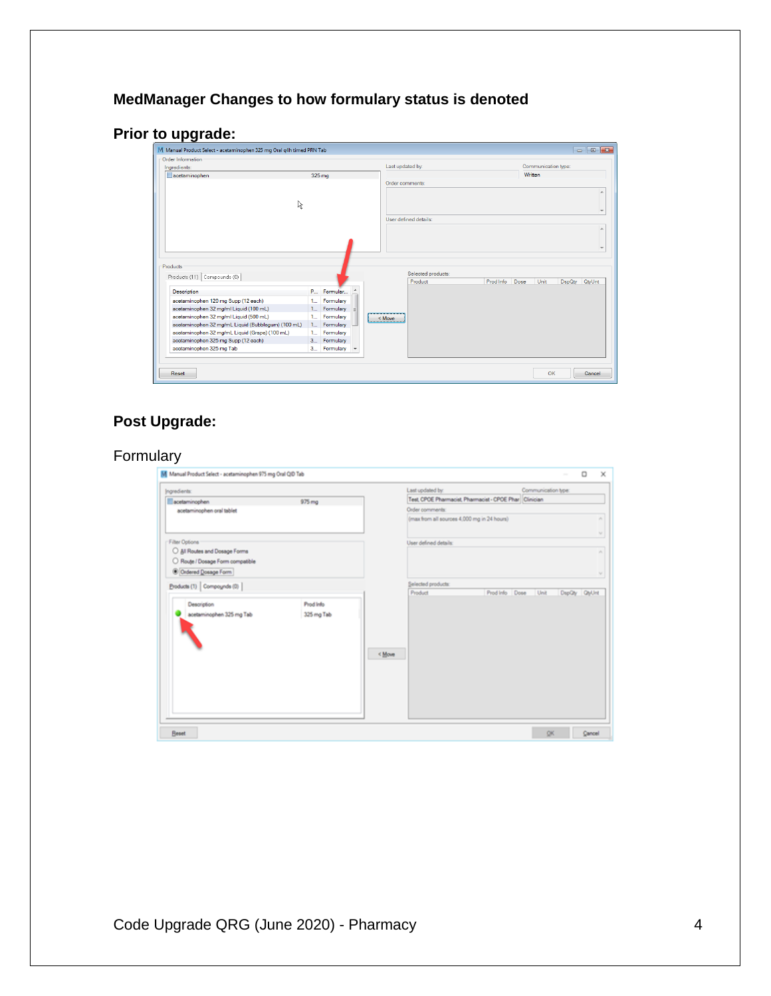# **MedManager Changes to how formulary status is denoted**

# **Prior to upgrade:**

| Order Information                                                             |                                  |                        |                       |           |              |                     |        |
|-------------------------------------------------------------------------------|----------------------------------|------------------------|-----------------------|-----------|--------------|---------------------|--------|
| Ingredients:                                                                  |                                  |                        | Last updated by:      |           |              | Communication type: |        |
| acetaminophen                                                                 | 325 mg                           |                        |                       |           | Written      |                     |        |
|                                                                               |                                  |                        | Order comments:       |           |              |                     |        |
|                                                                               |                                  |                        |                       |           |              |                     |        |
| な                                                                             |                                  |                        |                       |           |              |                     |        |
|                                                                               |                                  |                        |                       |           |              |                     |        |
|                                                                               |                                  |                        | User defined details: |           |              |                     |        |
|                                                                               |                                  |                        |                       |           |              |                     |        |
|                                                                               |                                  |                        |                       |           |              |                     |        |
|                                                                               |                                  |                        |                       |           |              |                     |        |
|                                                                               |                                  |                        |                       |           |              |                     |        |
| Products                                                                      |                                  |                        | Selected products:    |           |              |                     |        |
| Products (11) Compounds (0)<br><b>Description</b>                             | P                                | Formular               | Product               | Prod Info | Dose<br>Unit | DspQty              | QtyUnt |
|                                                                               |                                  |                        |                       |           |              |                     |        |
| acetaminophen 120 mg Supp (12 each)<br>acetaminophen 32 mg/ml Liquid (100 mL) | 1 <sup>1</sup><br>1 <sup>1</sup> | Formulary<br>Formulary |                       |           |              |                     |        |
| acetaminophen 32 mg/ml Liquid (500 mL)                                        | 1                                | Formulary              |                       |           |              |                     |        |
| acetaminophen 32 mg/mL Liquid (Bubblegum) (100 mL)                            | 1                                | Formulary              | < Move                |           |              |                     |        |
| acetaminophen 32 mg/mL Liquid (Grape) (100 mL)                                | 1                                | Formulary              |                       |           |              |                     |        |
| acetaminophen 325 mg Supp (12 each)                                           | 3                                | Formulary              |                       |           |              |                     |        |
| acetaminophen 325 mg Tab                                                      | 3                                | Formulary              |                       |           |              |                     |        |

# **Post Upgrade:**

## Formulary

| Ingredients:                     |            |        | Last updated by:                            |                                                         | Communication type: |               |          |
|----------------------------------|------------|--------|---------------------------------------------|---------------------------------------------------------|---------------------|---------------|----------|
| acetaminophen                    | 975 mg     |        |                                             | Test, CPOE Pharmacist, Pharmacist - CPOE Phar Clinician |                     |               |          |
| acetaminophen oral tablet        |            |        | Order comments:                             |                                                         |                     |               |          |
|                                  |            |        | (max from all sources 4,000 mg in 24 hours) |                                                         |                     |               | ×        |
| Filter Options                   |            |        | User defined details:                       |                                                         |                     |               | $\omega$ |
| All Routes and Dosage Forms      |            |        |                                             |                                                         |                     |               | $\sim$   |
| O Route / Dosage Form compatible |            |        |                                             |                                                         |                     |               |          |
| Ordered Dosage Form              |            |        |                                             |                                                         |                     |               |          |
| Products (1) Compoyinds (0)      |            |        | Selected products:                          |                                                         |                     |               |          |
|                                  |            |        | Product                                     | Prod Info Dose                                          | Unit                | DspQty QtyUnt |          |
| Description                      | Prod Info  |        |                                             |                                                         |                     |               |          |
| acetaminophen 325 mg Tab         | 325 mg Tab |        |                                             |                                                         |                     |               |          |
|                                  |            |        |                                             |                                                         |                     |               |          |
|                                  |            |        |                                             |                                                         |                     |               |          |
|                                  |            |        |                                             |                                                         |                     |               |          |
|                                  |            | < Move |                                             |                                                         |                     |               |          |
|                                  |            |        |                                             |                                                         |                     |               |          |
|                                  |            |        |                                             |                                                         |                     |               |          |
|                                  |            |        |                                             |                                                         |                     |               |          |
|                                  |            |        |                                             |                                                         |                     |               |          |
|                                  |            |        |                                             |                                                         |                     |               |          |
|                                  |            |        |                                             |                                                         |                     |               |          |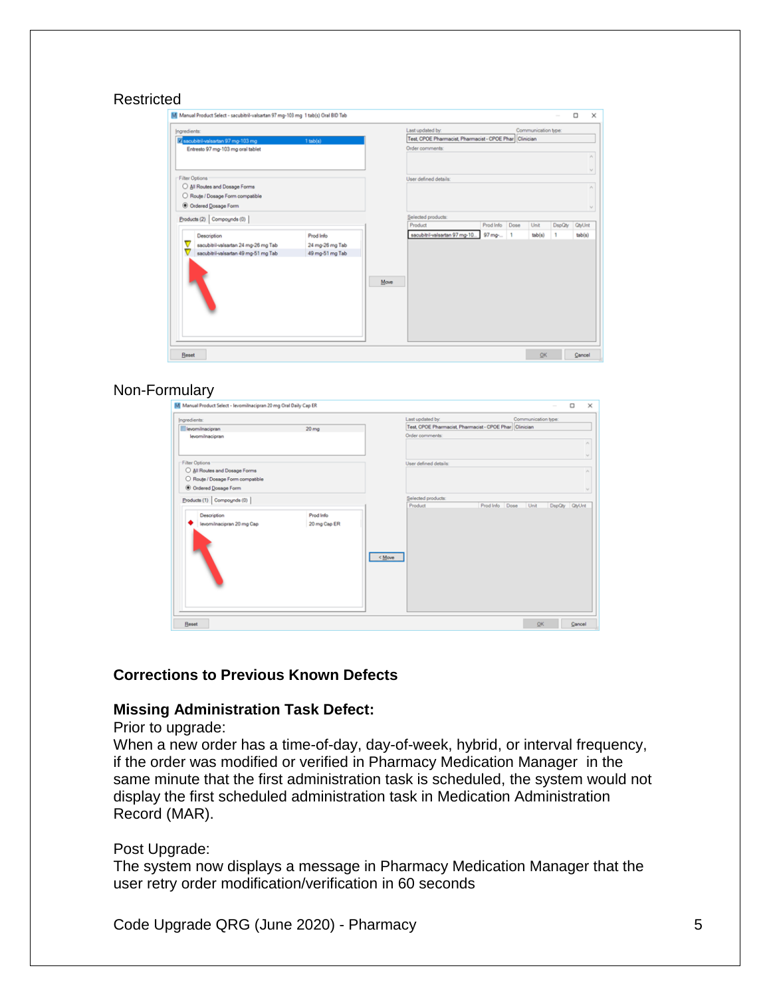#### Restricted

| Ingredients:                         |                 |         | Last updated by:                              |           |      | Communication type: |        |               |
|--------------------------------------|-----------------|---------|-----------------------------------------------|-----------|------|---------------------|--------|---------------|
| V sacubitril-valsartan 97 mg-103 mg  | $1$ tab(s)      |         | Test, CPOE Pharmacist, Pharmacist - CPOE Phar |           |      | Clinician           |        |               |
| Entresto 97 mg-103 mg oral tablet    |                 |         | Order comments:                               |           |      |                     |        |               |
|                                      |                 |         |                                               |           |      |                     |        |               |
| Filter Options                       |                 |         | User defined details:                         |           |      |                     |        | $\vee$        |
| All Routes and Dosage Forms          |                 |         |                                               |           |      |                     |        |               |
| O Route / Dosage Form compatible     |                 |         |                                               |           |      |                     |        |               |
| Ordered Dosage Form                  |                 |         |                                               |           |      |                     |        | $\mathcal{L}$ |
| Products (2) Compounds (0)           |                 |         | Selected products:                            |           |      |                     |        |               |
|                                      |                 | Product |                                               | Prod Info | Dose | Unit                | DspQty | <b>QtyUnt</b> |
| Description                          | Prod Info       |         | sacubitril-valsartan 97 mg-10                 | 97 mg-    | 1    | $t$ a $b(s)$        | ٠      | tab(s)        |
| sacubitril-valsartan 24 mg-26 mg Tab | 24 mg-26 mg Tab |         |                                               |           |      |                     |        |               |
| sacubitril-valsartan 49 mg-51 mg Tab | 49 mg-51 mg Tab |         |                                               |           |      |                     |        |               |
|                                      |                 | Move    |                                               |           |      |                     |        |               |
|                                      |                 |         |                                               |           |      |                     |        |               |

#### Non-Formulary

| Ingredients:                                                  |                           | Last updated by:              |                                                        | Communication type: |        |        |
|---------------------------------------------------------------|---------------------------|-------------------------------|--------------------------------------------------------|---------------------|--------|--------|
| levomilnacipran                                               | 20 <sub>ma</sub>          |                               | Test CPOE Pharmacist, Pharmacist - CPOE Phar Clinician |                     |        |        |
| levomilnacipran                                               |                           | Order comments:               |                                                        |                     |        |        |
| Filter Options                                                |                           | User defined details:         |                                                        |                     |        |        |
| All Routes and Dosage Forms<br>Route / Dosage Form compatible |                           |                               |                                                        |                     |        |        |
| © Ordered Dosage Form                                         |                           |                               |                                                        |                     |        |        |
| Products (1) Compounds (0)                                    |                           | Selected products:<br>Product | Prod Info Dose                                         | Unit                | DspQty | QtyUnt |
| Description<br>levomilnacipran 20 mg Cap                      | Prod Info<br>20 mg Cap ER | < Move                        |                                                        |                     |        |        |

#### **Corrections to Previous Known Defects**

#### **Missing Administration Task Defect:**

#### Prior to upgrade:

When a new order has a time-of-day, day-of-week, hybrid, or interval frequency, if the order was modified or verified in Pharmacy Medication Manager in the same minute that the first administration task is scheduled, the system would not display the first scheduled administration task in Medication Administration Record (MAR).

#### Post Upgrade:

The system now displays a message in Pharmacy Medication Manager that the user retry order modification/verification in 60 seconds

Code Upgrade QRG (June 2020) - Pharmacy 5